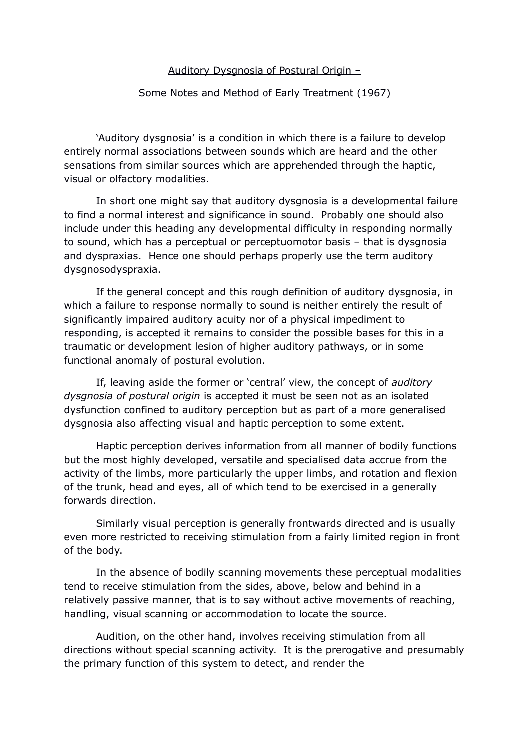# Auditory Dysgnosia of Postural Origin –

### Some Notes and Method of Early Treatment (1967)

'Auditory dysgnosia' is a condition in which there is a failure to develop entirely normal associations between sounds which are heard and the other sensations from similar sources which are apprehended through the haptic, visual or olfactory modalities.

In short one might say that auditory dysgnosia is a developmental failure to find a normal interest and significance in sound. Probably one should also include under this heading any developmental difficulty in responding normally to sound, which has a perceptual or perceptuomotor basis – that is dysgnosia and dyspraxias. Hence one should perhaps properly use the term auditory dysgnosodyspraxia.

If the general concept and this rough definition of auditory dysgnosia, in which a failure to response normally to sound is neither entirely the result of significantly impaired auditory acuity nor of a physical impediment to responding, is accepted it remains to consider the possible bases for this in a traumatic or development lesion of higher auditory pathways, or in some functional anomaly of postural evolution.

If, leaving aside the former or 'central' view, the concept of *auditory dysgnosia of postural origin* is accepted it must be seen not as an isolated dysfunction confined to auditory perception but as part of a more generalised dysgnosia also affecting visual and haptic perception to some extent.

Haptic perception derives information from all manner of bodily functions but the most highly developed, versatile and specialised data accrue from the activity of the limbs, more particularly the upper limbs, and rotation and flexion of the trunk, head and eyes, all of which tend to be exercised in a generally forwards direction.

Similarly visual perception is generally frontwards directed and is usually even more restricted to receiving stimulation from a fairly limited region in front of the body.

In the absence of bodily scanning movements these perceptual modalities tend to receive stimulation from the sides, above, below and behind in a relatively passive manner, that is to say without active movements of reaching, handling, visual scanning or accommodation to locate the source.

Audition, on the other hand, involves receiving stimulation from all directions without special scanning activity. It is the prerogative and presumably the primary function of this system to detect, and render the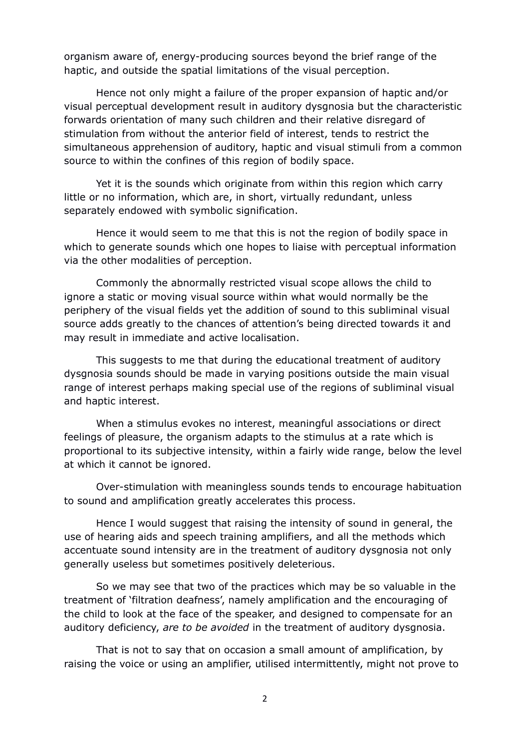organism aware of, energy-producing sources beyond the brief range of the haptic, and outside the spatial limitations of the visual perception.

Hence not only might a failure of the proper expansion of haptic and/or visual perceptual development result in auditory dysgnosia but the characteristic forwards orientation of many such children and their relative disregard of stimulation from without the anterior field of interest, tends to restrict the simultaneous apprehension of auditory, haptic and visual stimuli from a common source to within the confines of this region of bodily space.

Yet it is the sounds which originate from within this region which carry little or no information, which are, in short, virtually redundant, unless separately endowed with symbolic signification.

Hence it would seem to me that this is not the region of bodily space in which to generate sounds which one hopes to liaise with perceptual information via the other modalities of perception.

Commonly the abnormally restricted visual scope allows the child to ignore a static or moving visual source within what would normally be the periphery of the visual fields yet the addition of sound to this subliminal visual source adds greatly to the chances of attention's being directed towards it and may result in immediate and active localisation.

This suggests to me that during the educational treatment of auditory dysgnosia sounds should be made in varying positions outside the main visual range of interest perhaps making special use of the regions of subliminal visual and haptic interest.

When a stimulus evokes no interest, meaningful associations or direct feelings of pleasure, the organism adapts to the stimulus at a rate which is proportional to its subjective intensity, within a fairly wide range, below the level at which it cannot be ignored.

Over-stimulation with meaningless sounds tends to encourage habituation to sound and amplification greatly accelerates this process.

Hence I would suggest that raising the intensity of sound in general, the use of hearing aids and speech training amplifiers, and all the methods which accentuate sound intensity are in the treatment of auditory dysgnosia not only generally useless but sometimes positively deleterious.

So we may see that two of the practices which may be so valuable in the treatment of 'filtration deafness', namely amplification and the encouraging of the child to look at the face of the speaker, and designed to compensate for an auditory deficiency, *are to be avoided* in the treatment of auditory dysgnosia.

That is not to say that on occasion a small amount of amplification, by raising the voice or using an amplifier, utilised intermittently, might not prove to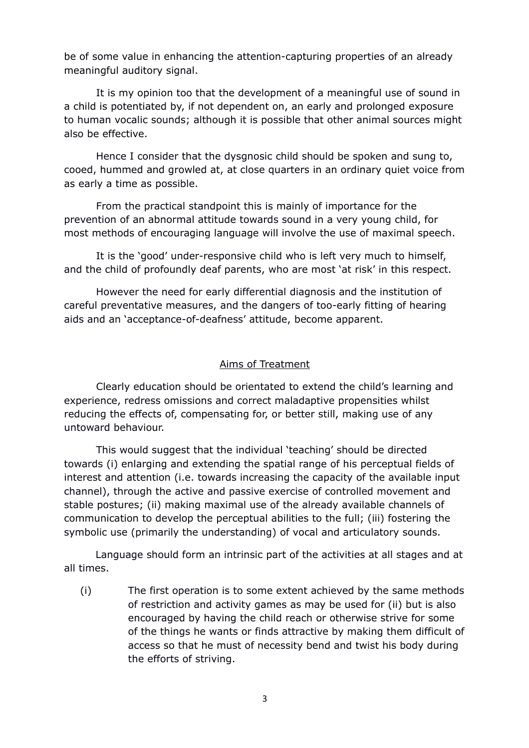be of some value in enhancing the attention-capturing properties of an already meaningful auditory signal.

It is my opinion too that the development of a meaningful use of sound in a child is potentiated by, if not dependent on, an early and prolonged exposure to human vocalic sounds; although it is possible that other animal sources might also be effective.

Hence I consider that the dysgnosic child should be spoken and sung to, cooed, hummed and growled at, at close quarters in an ordinary quiet voice from as early a time as possible.

From the practical standpoint this is mainly of importance for the prevention of an abnormal attitude towards sound in a very young child, for most methods of encouraging language will involve the use of maximal speech.

It is the 'good' under-responsive child who is left very much to himself, and the child of profoundly deaf parents, who are most 'at risk' in this respect.

However the need for early differential diagnosis and the institution of careful preventative measures, and the dangers of too-early fitting of hearing aids and an 'acceptance-of-deafness' attitude, become apparent.

# Aims of Treatment

Clearly education should be orientated to extend the child's learning and experience, redress omissions and correct maladaptive propensities whilst reducing the effects of, compensating for, or better still, making use of any untoward behaviour.

This would suggest that the individual 'teaching' should be directed towards (i) enlarging and extending the spatial range of his perceptual fields of interest and attention (i.e. towards increasing the capacity of the available input channel), through the active and passive exercise of controlled movement and stable postures; (ii) making maximal use of the already available channels of communication to develop the perceptual abilities to the full; (iii) fostering the symbolic use (primarily the understanding) of vocal and articulatory sounds.

Language should form an intrinsic part of the activities at all stages and at all times.

(i) The first operation is to some extent achieved by the same methods of restriction and activity games as may be used for (ii) but is also encouraged by having the child reach or otherwise strive for some of the things he wants or finds attractive by making them difficult of access so that he must of necessity bend and twist his body during the efforts of striving.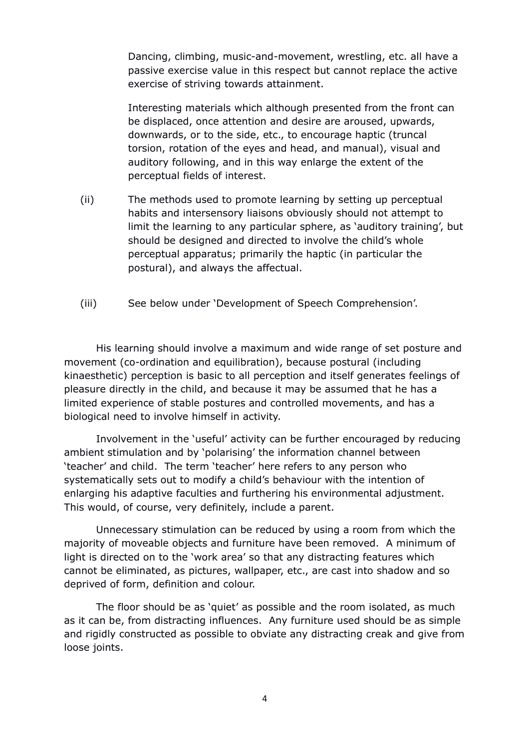Dancing, climbing, music-and-movement, wrestling, etc. all have a passive exercise value in this respect but cannot replace the active exercise of striving towards attainment.

Interesting materials which although presented from the front can be displaced, once attention and desire are aroused, upwards, downwards, or to the side, etc., to encourage haptic (truncal torsion, rotation of the eyes and head, and manual), visual and auditory following, and in this way enlarge the extent of the perceptual fields of interest.

- (ii) The methods used to promote learning by setting up perceptual habits and intersensory liaisons obviously should not attempt to limit the learning to any particular sphere, as 'auditory training', but should be designed and directed to involve the child's whole perceptual apparatus; primarily the haptic (in particular the postural), and always the affectual.
- (iii) See below under 'Development of Speech Comprehension'.

His learning should involve a maximum and wide range of set posture and movement (co-ordination and equilibration), because postural (including kinaesthetic) perception is basic to all perception and itself generates feelings of pleasure directly in the child, and because it may be assumed that he has a limited experience of stable postures and controlled movements, and has a biological need to involve himself in activity.

Involvement in the 'useful' activity can be further encouraged by reducing ambient stimulation and by 'polarising' the information channel between 'teacher' and child. The term 'teacher' here refers to any person who systematically sets out to modify a child's behaviour with the intention of enlarging his adaptive faculties and furthering his environmental adjustment. This would, of course, very definitely, include a parent.

Unnecessary stimulation can be reduced by using a room from which the majority of moveable objects and furniture have been removed. A minimum of light is directed on to the 'work area' so that any distracting features which cannot be eliminated, as pictures, wallpaper, etc., are cast into shadow and so deprived of form, definition and colour.

The floor should be as 'quiet' as possible and the room isolated, as much as it can be, from distracting influences. Any furniture used should be as simple and rigidly constructed as possible to obviate any distracting creak and give from loose joints.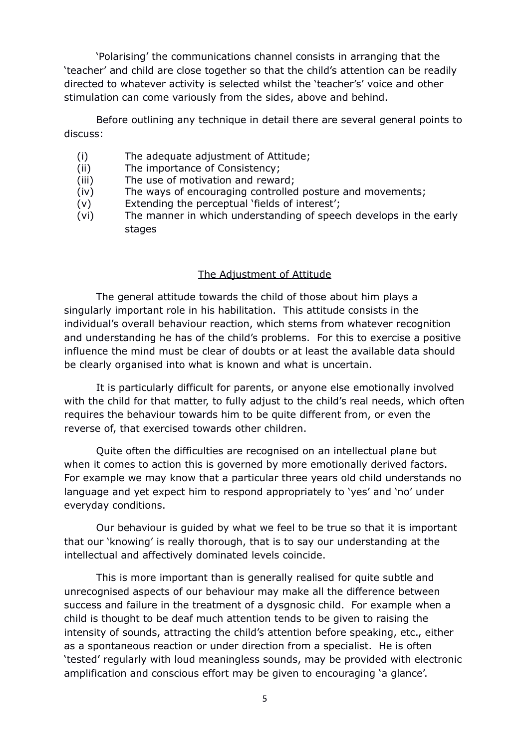'Polarising' the communications channel consists in arranging that the 'teacher' and child are close together so that the child's attention can be readily directed to whatever activity is selected whilst the 'teacher's' voice and other stimulation can come variously from the sides, above and behind.

Before outlining any technique in detail there are several general points to discuss:

- (i) The adequate adjustment of Attitude;
- (ii) The importance of Consistency;
- (iii) The use of motivation and reward;
- (iv) The ways of encouraging controlled posture and movements;
- (v) Extending the perceptual 'fields of interest';
- (vi) The manner in which understanding of speech develops in the early stages

# The Adjustment of Attitude

The general attitude towards the child of those about him plays a singularly important role in his habilitation. This attitude consists in the individual's overall behaviour reaction, which stems from whatever recognition and understanding he has of the child's problems. For this to exercise a positive influence the mind must be clear of doubts or at least the available data should be clearly organised into what is known and what is uncertain.

It is particularly difficult for parents, or anyone else emotionally involved with the child for that matter, to fully adjust to the child's real needs, which often requires the behaviour towards him to be quite different from, or even the reverse of, that exercised towards other children.

Quite often the difficulties are recognised on an intellectual plane but when it comes to action this is governed by more emotionally derived factors. For example we may know that a particular three years old child understands no language and yet expect him to respond appropriately to 'yes' and 'no' under everyday conditions.

Our behaviour is guided by what we feel to be true so that it is important that our 'knowing' is really thorough, that is to say our understanding at the intellectual and affectively dominated levels coincide.

This is more important than is generally realised for quite subtle and unrecognised aspects of our behaviour may make all the difference between success and failure in the treatment of a dysgnosic child. For example when a child is thought to be deaf much attention tends to be given to raising the intensity of sounds, attracting the child's attention before speaking, etc., either as a spontaneous reaction or under direction from a specialist. He is often 'tested' regularly with loud meaningless sounds, may be provided with electronic amplification and conscious effort may be given to encouraging 'a glance'.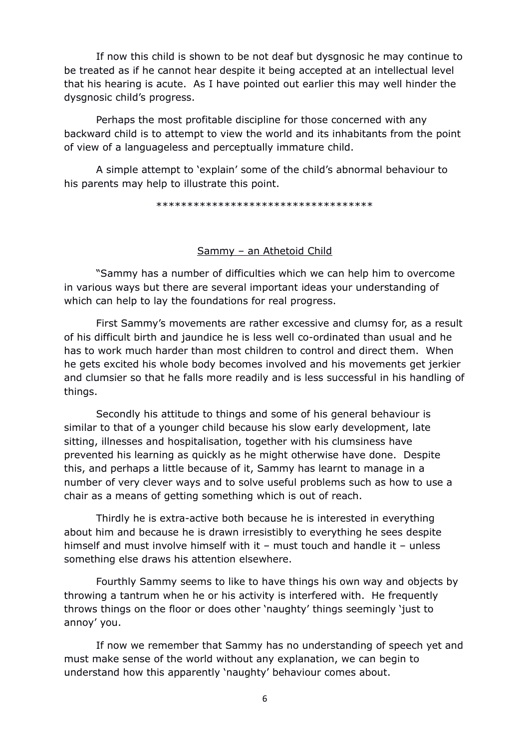If now this child is shown to be not deaf but dysgnosic he may continue to be treated as if he cannot hear despite it being accepted at an intellectual level that his hearing is acute. As I have pointed out earlier this may well hinder the dysgnosic child's progress.

Perhaps the most profitable discipline for those concerned with any backward child is to attempt to view the world and its inhabitants from the point of view of a languageless and perceptually immature child.

A simple attempt to 'explain' some of the child's abnormal behaviour to his parents may help to illustrate this point.

\*\*\*\*\*\*\*\*\*\*\*\*\*\*\*\*\*\*\*\*\*\*\*\*\*\*\*\*\*\*\*\*\*\*\*

### Sammy – an Athetoid Child

"Sammy has a number of difficulties which we can help him to overcome in various ways but there are several important ideas your understanding of which can help to lay the foundations for real progress.

First Sammy's movements are rather excessive and clumsy for, as a result of his difficult birth and jaundice he is less well co-ordinated than usual and he has to work much harder than most children to control and direct them. When he gets excited his whole body becomes involved and his movements get jerkier and clumsier so that he falls more readily and is less successful in his handling of things.

Secondly his attitude to things and some of his general behaviour is similar to that of a younger child because his slow early development, late sitting, illnesses and hospitalisation, together with his clumsiness have prevented his learning as quickly as he might otherwise have done. Despite this, and perhaps a little because of it, Sammy has learnt to manage in a number of very clever ways and to solve useful problems such as how to use a chair as a means of getting something which is out of reach.

Thirdly he is extra-active both because he is interested in everything about him and because he is drawn irresistibly to everything he sees despite himself and must involve himself with it – must touch and handle it – unless something else draws his attention elsewhere.

Fourthly Sammy seems to like to have things his own way and objects by throwing a tantrum when he or his activity is interfered with. He frequently throws things on the floor or does other 'naughty' things seemingly 'just to annoy' you.

If now we remember that Sammy has no understanding of speech yet and must make sense of the world without any explanation, we can begin to understand how this apparently 'naughty' behaviour comes about.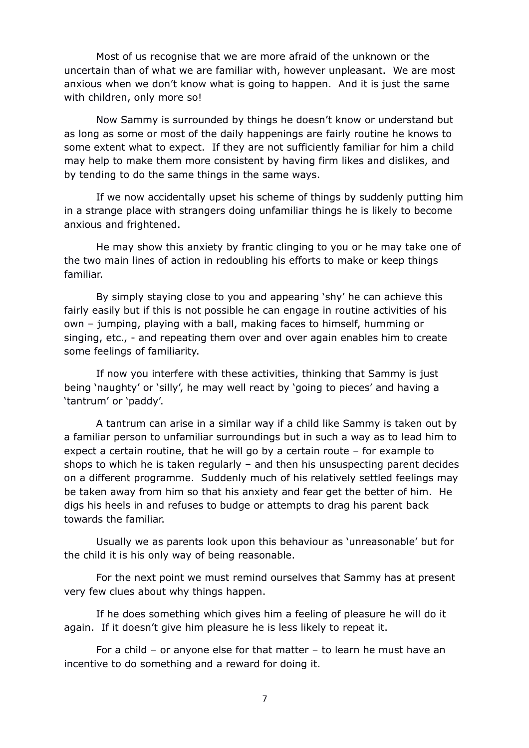Most of us recognise that we are more afraid of the unknown or the uncertain than of what we are familiar with, however unpleasant. We are most anxious when we don't know what is going to happen. And it is just the same with children, only more so!

Now Sammy is surrounded by things he doesn't know or understand but as long as some or most of the daily happenings are fairly routine he knows to some extent what to expect. If they are not sufficiently familiar for him a child may help to make them more consistent by having firm likes and dislikes, and by tending to do the same things in the same ways.

If we now accidentally upset his scheme of things by suddenly putting him in a strange place with strangers doing unfamiliar things he is likely to become anxious and frightened.

He may show this anxiety by frantic clinging to you or he may take one of the two main lines of action in redoubling his efforts to make or keep things familiar.

By simply staying close to you and appearing 'shy' he can achieve this fairly easily but if this is not possible he can engage in routine activities of his own – jumping, playing with a ball, making faces to himself, humming or singing, etc., - and repeating them over and over again enables him to create some feelings of familiarity.

If now you interfere with these activities, thinking that Sammy is just being 'naughty' or 'silly', he may well react by 'going to pieces' and having a 'tantrum' or 'paddy'.

A tantrum can arise in a similar way if a child like Sammy is taken out by a familiar person to unfamiliar surroundings but in such a way as to lead him to expect a certain routine, that he will go by a certain route – for example to shops to which he is taken regularly – and then his unsuspecting parent decides on a different programme. Suddenly much of his relatively settled feelings may be taken away from him so that his anxiety and fear get the better of him. He digs his heels in and refuses to budge or attempts to drag his parent back towards the familiar.

Usually we as parents look upon this behaviour as 'unreasonable' but for the child it is his only way of being reasonable.

For the next point we must remind ourselves that Sammy has at present very few clues about why things happen.

If he does something which gives him a feeling of pleasure he will do it again. If it doesn't give him pleasure he is less likely to repeat it.

For a child – or anyone else for that matter – to learn he must have an incentive to do something and a reward for doing it.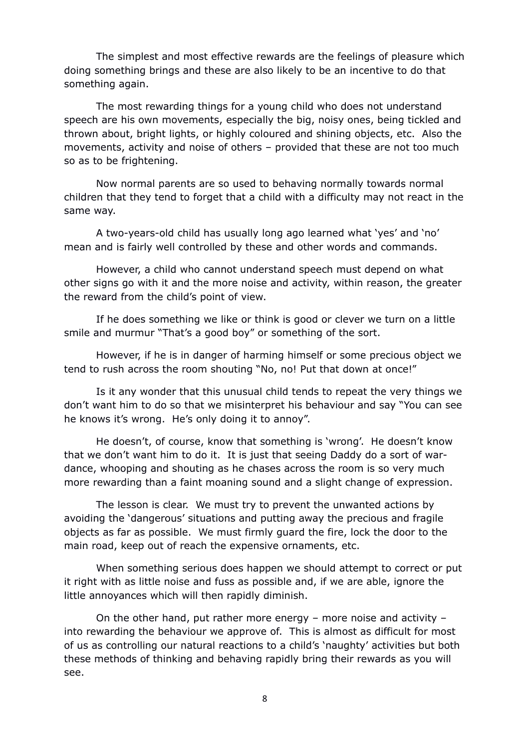The simplest and most effective rewards are the feelings of pleasure which doing something brings and these are also likely to be an incentive to do that something again.

The most rewarding things for a young child who does not understand speech are his own movements, especially the big, noisy ones, being tickled and thrown about, bright lights, or highly coloured and shining objects, etc. Also the movements, activity and noise of others – provided that these are not too much so as to be frightening.

Now normal parents are so used to behaving normally towards normal children that they tend to forget that a child with a difficulty may not react in the same way.

A two-years-old child has usually long ago learned what 'yes' and 'no' mean and is fairly well controlled by these and other words and commands.

However, a child who cannot understand speech must depend on what other signs go with it and the more noise and activity, within reason, the greater the reward from the child's point of view.

If he does something we like or think is good or clever we turn on a little smile and murmur "That's a good boy" or something of the sort.

However, if he is in danger of harming himself or some precious object we tend to rush across the room shouting "No, no! Put that down at once!"

Is it any wonder that this unusual child tends to repeat the very things we don't want him to do so that we misinterpret his behaviour and say "You can see he knows it's wrong. He's only doing it to annoy".

He doesn't, of course, know that something is 'wrong'. He doesn't know that we don't want him to do it. It is just that seeing Daddy do a sort of wardance, whooping and shouting as he chases across the room is so very much more rewarding than a faint moaning sound and a slight change of expression.

The lesson is clear. We must try to prevent the unwanted actions by avoiding the 'dangerous' situations and putting away the precious and fragile objects as far as possible. We must firmly guard the fire, lock the door to the main road, keep out of reach the expensive ornaments, etc.

When something serious does happen we should attempt to correct or put it right with as little noise and fuss as possible and, if we are able, ignore the little annoyances which will then rapidly diminish.

On the other hand, put rather more energy – more noise and activity – into rewarding the behaviour we approve of. This is almost as difficult for most of us as controlling our natural reactions to a child's 'naughty' activities but both these methods of thinking and behaving rapidly bring their rewards as you will see.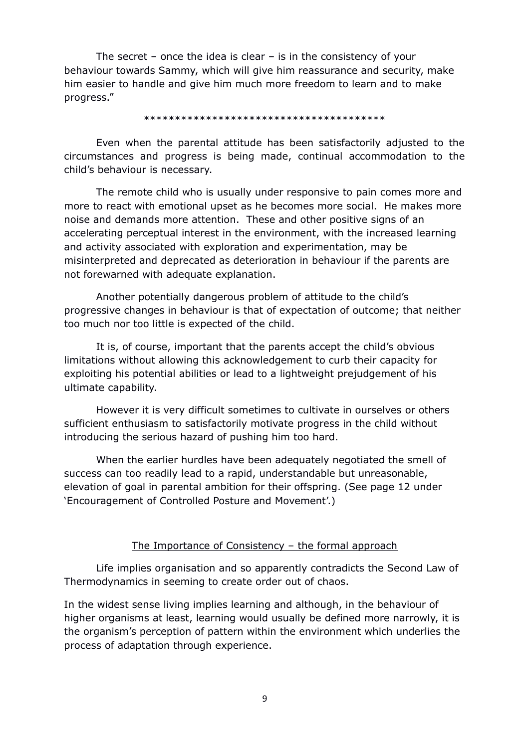The secret – once the idea is clear – is in the consistency of your behaviour towards Sammy, which will give him reassurance and security, make him easier to handle and give him much more freedom to learn and to make progress."

#### \*\*\*\*\*\*\*\*\*\*\*\*\*\*\*\*\*\*\*\*\*\*\*\*\*\*\*\*\*\*\*\*\*\*\*\*\*\*\*

Even when the parental attitude has been satisfactorily adjusted to the circumstances and progress is being made, continual accommodation to the child's behaviour is necessary.

The remote child who is usually under responsive to pain comes more and more to react with emotional upset as he becomes more social. He makes more noise and demands more attention. These and other positive signs of an accelerating perceptual interest in the environment, with the increased learning and activity associated with exploration and experimentation, may be misinterpreted and deprecated as deterioration in behaviour if the parents are not forewarned with adequate explanation.

Another potentially dangerous problem of attitude to the child's progressive changes in behaviour is that of expectation of outcome; that neither too much nor too little is expected of the child.

It is, of course, important that the parents accept the child's obvious limitations without allowing this acknowledgement to curb their capacity for exploiting his potential abilities or lead to a lightweight prejudgement of his ultimate capability.

However it is very difficult sometimes to cultivate in ourselves or others sufficient enthusiasm to satisfactorily motivate progress in the child without introducing the serious hazard of pushing him too hard.

When the earlier hurdles have been adequately negotiated the smell of success can too readily lead to a rapid, understandable but unreasonable, elevation of goal in parental ambition for their offspring. (See page 12 under 'Encouragement of Controlled Posture and Movement'.)

#### The Importance of Consistency – the formal approach

Life implies organisation and so apparently contradicts the Second Law of Thermodynamics in seeming to create order out of chaos.

In the widest sense living implies learning and although, in the behaviour of higher organisms at least, learning would usually be defined more narrowly, it is the organism's perception of pattern within the environment which underlies the process of adaptation through experience.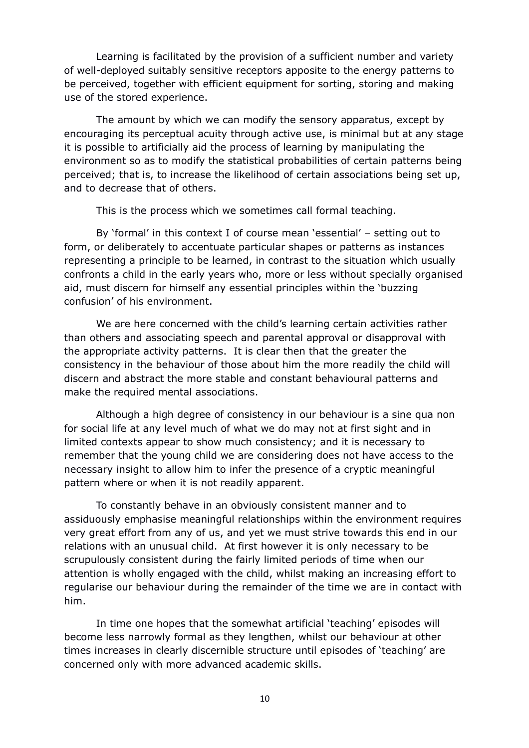Learning is facilitated by the provision of a sufficient number and variety of well-deployed suitably sensitive receptors apposite to the energy patterns to be perceived, together with efficient equipment for sorting, storing and making use of the stored experience.

The amount by which we can modify the sensory apparatus, except by encouraging its perceptual acuity through active use, is minimal but at any stage it is possible to artificially aid the process of learning by manipulating the environment so as to modify the statistical probabilities of certain patterns being perceived; that is, to increase the likelihood of certain associations being set up, and to decrease that of others.

This is the process which we sometimes call formal teaching.

By 'formal' in this context I of course mean 'essential' – setting out to form, or deliberately to accentuate particular shapes or patterns as instances representing a principle to be learned, in contrast to the situation which usually confronts a child in the early years who, more or less without specially organised aid, must discern for himself any essential principles within the 'buzzing confusion' of his environment.

We are here concerned with the child's learning certain activities rather than others and associating speech and parental approval or disapproval with the appropriate activity patterns. It is clear then that the greater the consistency in the behaviour of those about him the more readily the child will discern and abstract the more stable and constant behavioural patterns and make the required mental associations.

Although a high degree of consistency in our behaviour is a sine qua non for social life at any level much of what we do may not at first sight and in limited contexts appear to show much consistency; and it is necessary to remember that the young child we are considering does not have access to the necessary insight to allow him to infer the presence of a cryptic meaningful pattern where or when it is not readily apparent.

To constantly behave in an obviously consistent manner and to assiduously emphasise meaningful relationships within the environment requires very great effort from any of us, and yet we must strive towards this end in our relations with an unusual child. At first however it is only necessary to be scrupulously consistent during the fairly limited periods of time when our attention is wholly engaged with the child, whilst making an increasing effort to regularise our behaviour during the remainder of the time we are in contact with him.

In time one hopes that the somewhat artificial 'teaching' episodes will become less narrowly formal as they lengthen, whilst our behaviour at other times increases in clearly discernible structure until episodes of 'teaching' are concerned only with more advanced academic skills.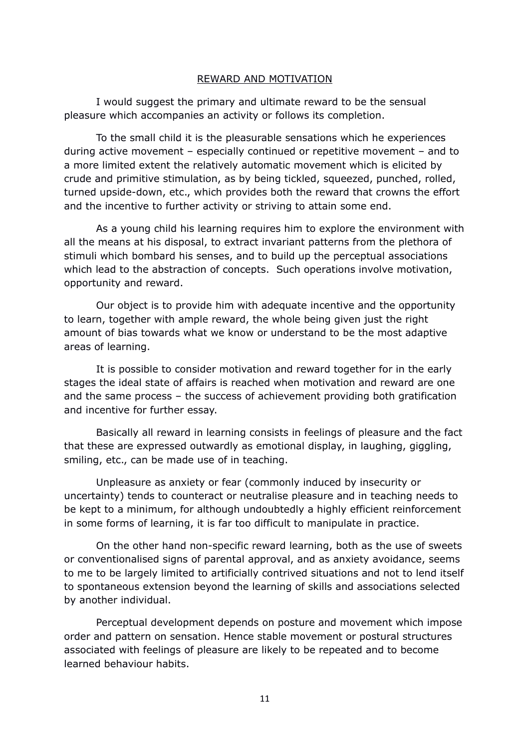### REWARD AND MOTIVATION

I would suggest the primary and ultimate reward to be the sensual pleasure which accompanies an activity or follows its completion.

To the small child it is the pleasurable sensations which he experiences during active movement – especially continued or repetitive movement – and to a more limited extent the relatively automatic movement which is elicited by crude and primitive stimulation, as by being tickled, squeezed, punched, rolled, turned upside-down, etc., which provides both the reward that crowns the effort and the incentive to further activity or striving to attain some end.

As a young child his learning requires him to explore the environment with all the means at his disposal, to extract invariant patterns from the plethora of stimuli which bombard his senses, and to build up the perceptual associations which lead to the abstraction of concepts. Such operations involve motivation, opportunity and reward.

Our object is to provide him with adequate incentive and the opportunity to learn, together with ample reward, the whole being given just the right amount of bias towards what we know or understand to be the most adaptive areas of learning.

It is possible to consider motivation and reward together for in the early stages the ideal state of affairs is reached when motivation and reward are one and the same process – the success of achievement providing both gratification and incentive for further essay.

Basically all reward in learning consists in feelings of pleasure and the fact that these are expressed outwardly as emotional display, in laughing, giggling, smiling, etc., can be made use of in teaching.

Unpleasure as anxiety or fear (commonly induced by insecurity or uncertainty) tends to counteract or neutralise pleasure and in teaching needs to be kept to a minimum, for although undoubtedly a highly efficient reinforcement in some forms of learning, it is far too difficult to manipulate in practice.

On the other hand non-specific reward learning, both as the use of sweets or conventionalised signs of parental approval, and as anxiety avoidance, seems to me to be largely limited to artificially contrived situations and not to lend itself to spontaneous extension beyond the learning of skills and associations selected by another individual.

Perceptual development depends on posture and movement which impose order and pattern on sensation. Hence stable movement or postural structures associated with feelings of pleasure are likely to be repeated and to become learned behaviour habits.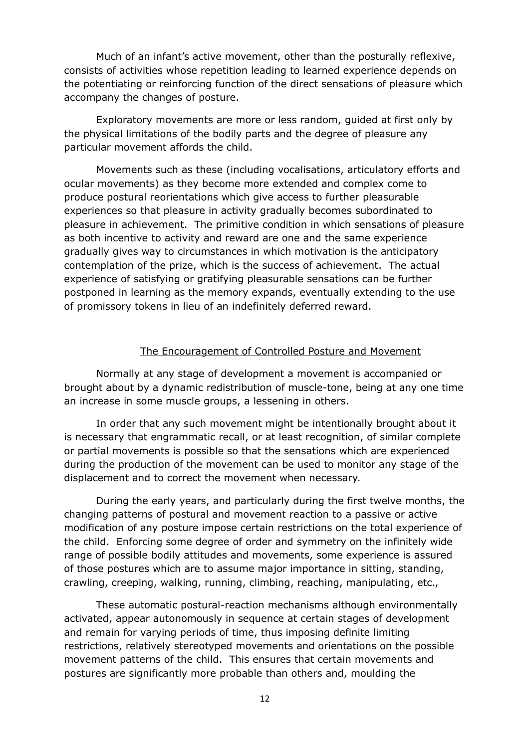Much of an infant's active movement, other than the posturally reflexive, consists of activities whose repetition leading to learned experience depends on the potentiating or reinforcing function of the direct sensations of pleasure which accompany the changes of posture.

Exploratory movements are more or less random, guided at first only by the physical limitations of the bodily parts and the degree of pleasure any particular movement affords the child.

Movements such as these (including vocalisations, articulatory efforts and ocular movements) as they become more extended and complex come to produce postural reorientations which give access to further pleasurable experiences so that pleasure in activity gradually becomes subordinated to pleasure in achievement. The primitive condition in which sensations of pleasure as both incentive to activity and reward are one and the same experience gradually gives way to circumstances in which motivation is the anticipatory contemplation of the prize, which is the success of achievement. The actual experience of satisfying or gratifying pleasurable sensations can be further postponed in learning as the memory expands, eventually extending to the use of promissory tokens in lieu of an indefinitely deferred reward.

#### The Encouragement of Controlled Posture and Movement

Normally at any stage of development a movement is accompanied or brought about by a dynamic redistribution of muscle-tone, being at any one time an increase in some muscle groups, a lessening in others.

In order that any such movement might be intentionally brought about it is necessary that engrammatic recall, or at least recognition, of similar complete or partial movements is possible so that the sensations which are experienced during the production of the movement can be used to monitor any stage of the displacement and to correct the movement when necessary.

During the early years, and particularly during the first twelve months, the changing patterns of postural and movement reaction to a passive or active modification of any posture impose certain restrictions on the total experience of the child. Enforcing some degree of order and symmetry on the infinitely wide range of possible bodily attitudes and movements, some experience is assured of those postures which are to assume major importance in sitting, standing, crawling, creeping, walking, running, climbing, reaching, manipulating, etc.,

These automatic postural-reaction mechanisms although environmentally activated, appear autonomously in sequence at certain stages of development and remain for varying periods of time, thus imposing definite limiting restrictions, relatively stereotyped movements and orientations on the possible movement patterns of the child. This ensures that certain movements and postures are significantly more probable than others and, moulding the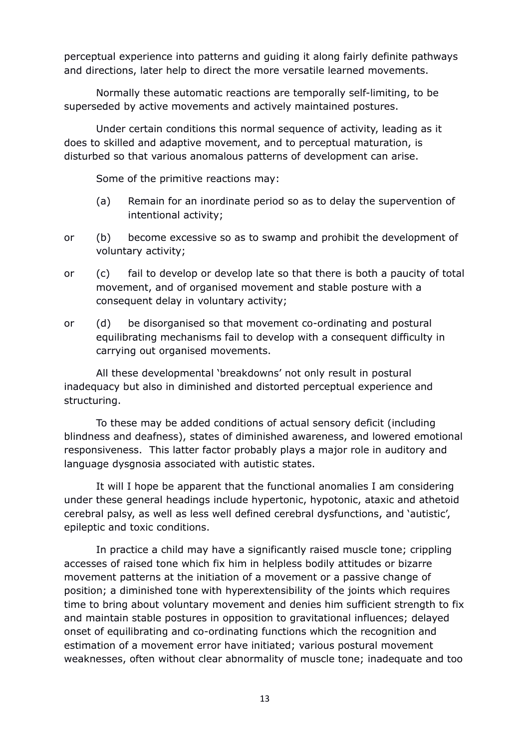perceptual experience into patterns and guiding it along fairly definite pathways and directions, later help to direct the more versatile learned movements.

Normally these automatic reactions are temporally self-limiting, to be superseded by active movements and actively maintained postures.

Under certain conditions this normal sequence of activity, leading as it does to skilled and adaptive movement, and to perceptual maturation, is disturbed so that various anomalous patterns of development can arise.

Some of the primitive reactions may:

- (a) Remain for an inordinate period so as to delay the supervention of intentional activity;
- or (b) become excessive so as to swamp and prohibit the development of voluntary activity;
- or (c) fail to develop or develop late so that there is both a paucity of total movement, and of organised movement and stable posture with a consequent delay in voluntary activity;
- or (d) be disorganised so that movement co-ordinating and postural equilibrating mechanisms fail to develop with a consequent difficulty in carrying out organised movements.

All these developmental 'breakdowns' not only result in postural inadequacy but also in diminished and distorted perceptual experience and structuring.

To these may be added conditions of actual sensory deficit (including blindness and deafness), states of diminished awareness, and lowered emotional responsiveness. This latter factor probably plays a major role in auditory and language dysgnosia associated with autistic states.

It will I hope be apparent that the functional anomalies I am considering under these general headings include hypertonic, hypotonic, ataxic and athetoid cerebral palsy, as well as less well defined cerebral dysfunctions, and 'autistic', epileptic and toxic conditions.

In practice a child may have a significantly raised muscle tone; crippling accesses of raised tone which fix him in helpless bodily attitudes or bizarre movement patterns at the initiation of a movement or a passive change of position; a diminished tone with hyperextensibility of the joints which requires time to bring about voluntary movement and denies him sufficient strength to fix and maintain stable postures in opposition to gravitational influences; delayed onset of equilibrating and co-ordinating functions which the recognition and estimation of a movement error have initiated; various postural movement weaknesses, often without clear abnormality of muscle tone; inadequate and too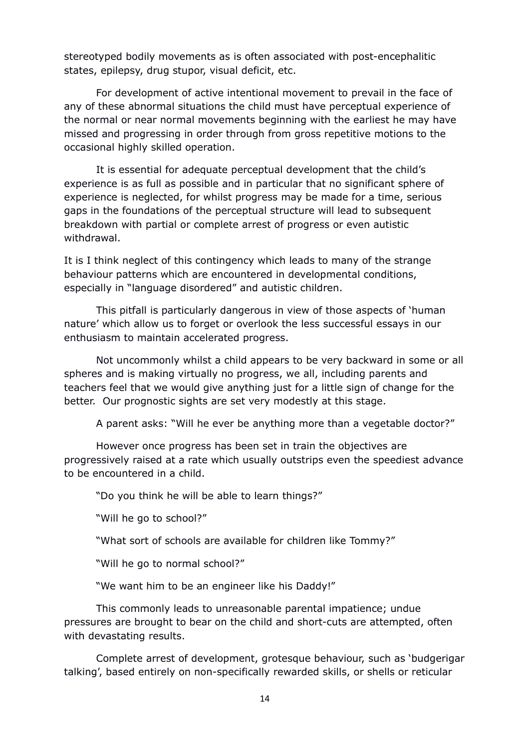stereotyped bodily movements as is often associated with post-encephalitic states, epilepsy, drug stupor, visual deficit, etc.

For development of active intentional movement to prevail in the face of any of these abnormal situations the child must have perceptual experience of the normal or near normal movements beginning with the earliest he may have missed and progressing in order through from gross repetitive motions to the occasional highly skilled operation.

It is essential for adequate perceptual development that the child's experience is as full as possible and in particular that no significant sphere of experience is neglected, for whilst progress may be made for a time, serious gaps in the foundations of the perceptual structure will lead to subsequent breakdown with partial or complete arrest of progress or even autistic withdrawal.

It is I think neglect of this contingency which leads to many of the strange behaviour patterns which are encountered in developmental conditions, especially in "language disordered" and autistic children.

This pitfall is particularly dangerous in view of those aspects of 'human nature' which allow us to forget or overlook the less successful essays in our enthusiasm to maintain accelerated progress.

Not uncommonly whilst a child appears to be very backward in some or all spheres and is making virtually no progress, we all, including parents and teachers feel that we would give anything just for a little sign of change for the better. Our prognostic sights are set very modestly at this stage.

A parent asks: "Will he ever be anything more than a vegetable doctor?"

However once progress has been set in train the objectives are progressively raised at a rate which usually outstrips even the speediest advance to be encountered in a child.

"Do you think he will be able to learn things?"

"Will he go to school?"

"What sort of schools are available for children like Tommy?"

"Will he go to normal school?"

"We want him to be an engineer like his Daddy!"

This commonly leads to unreasonable parental impatience; undue pressures are brought to bear on the child and short-cuts are attempted, often with devastating results.

Complete arrest of development, grotesque behaviour, such as 'budgerigar talking', based entirely on non-specifically rewarded skills, or shells or reticular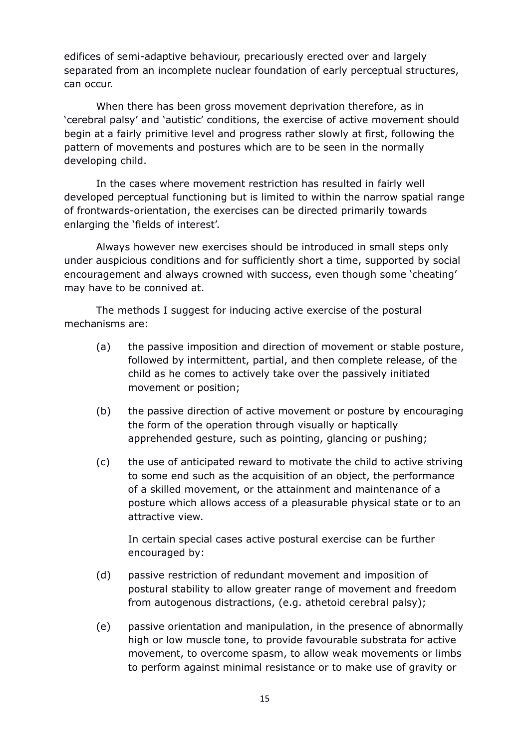edifices of semi-adaptive behaviour, precariously erected over and largely separated from an incomplete nuclear foundation of early perceptual structures, can occur.

When there has been gross movement deprivation therefore, as in 'cerebral palsy' and 'autistic' conditions, the exercise of active movement should begin at a fairly primitive level and progress rather slowly at first, following the pattern of movements and postures which are to be seen in the normally developing child.

In the cases where movement restriction has resulted in fairly well developed perceptual functioning but is limited to within the narrow spatial range of frontwards-orientation, the exercises can be directed primarily towards enlarging the 'fields of interest'.

Always however new exercises should be introduced in small steps only under auspicious conditions and for sufficiently short a time, supported by social encouragement and always crowned with success, even though some 'cheating' may have to be connived at.

The methods I suggest for inducing active exercise of the postural mechanisms are:

- (a) the passive imposition and direction of movement or stable posture, followed by intermittent, partial, and then complete release, of the child as he comes to actively take over the passively initiated movement or position;
- (b) the passive direction of active movement or posture by encouraging the form of the operation through visually or haptically apprehended gesture, such as pointing, glancing or pushing;
- (c) the use of anticipated reward to motivate the child to active striving to some end such as the acquisition of an object, the performance of a skilled movement, or the attainment and maintenance of a posture which allows access of a pleasurable physical state or to an attractive view.

In certain special cases active postural exercise can be further encouraged by:

- (d) passive restriction of redundant movement and imposition of postural stability to allow greater range of movement and freedom from autogenous distractions, (e.g. athetoid cerebral palsy);
- (e) passive orientation and manipulation, in the presence of abnormally high or low muscle tone, to provide favourable substrata for active movement, to overcome spasm, to allow weak movements or limbs to perform against minimal resistance or to make use of gravity or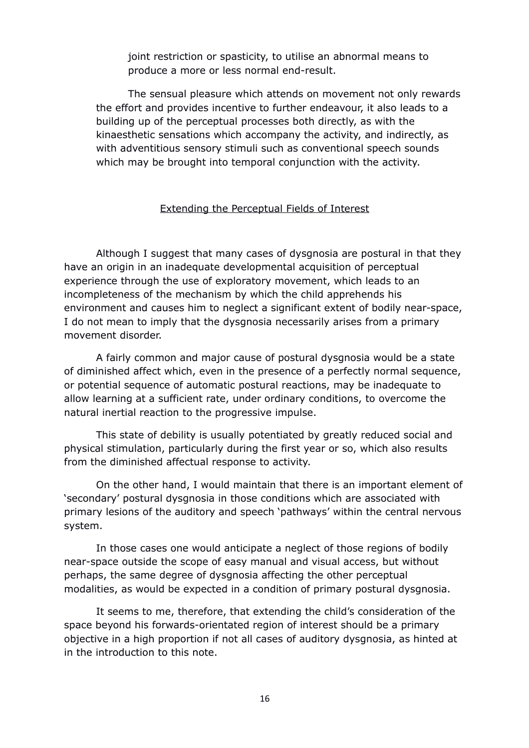joint restriction or spasticity, to utilise an abnormal means to produce a more or less normal end-result.

The sensual pleasure which attends on movement not only rewards the effort and provides incentive to further endeavour, it also leads to a building up of the perceptual processes both directly, as with the kinaesthetic sensations which accompany the activity, and indirectly, as with adventitious sensory stimuli such as conventional speech sounds which may be brought into temporal conjunction with the activity.

# Extending the Perceptual Fields of Interest

Although I suggest that many cases of dysgnosia are postural in that they have an origin in an inadequate developmental acquisition of perceptual experience through the use of exploratory movement, which leads to an incompleteness of the mechanism by which the child apprehends his environment and causes him to neglect a significant extent of bodily near-space, I do not mean to imply that the dysgnosia necessarily arises from a primary movement disorder.

A fairly common and major cause of postural dysgnosia would be a state of diminished affect which, even in the presence of a perfectly normal sequence, or potential sequence of automatic postural reactions, may be inadequate to allow learning at a sufficient rate, under ordinary conditions, to overcome the natural inertial reaction to the progressive impulse.

This state of debility is usually potentiated by greatly reduced social and physical stimulation, particularly during the first year or so, which also results from the diminished affectual response to activity.

On the other hand, I would maintain that there is an important element of 'secondary' postural dysgnosia in those conditions which are associated with primary lesions of the auditory and speech 'pathways' within the central nervous system.

In those cases one would anticipate a neglect of those regions of bodily near-space outside the scope of easy manual and visual access, but without perhaps, the same degree of dysgnosia affecting the other perceptual modalities, as would be expected in a condition of primary postural dysgnosia.

It seems to me, therefore, that extending the child's consideration of the space beyond his forwards-orientated region of interest should be a primary objective in a high proportion if not all cases of auditory dysgnosia, as hinted at in the introduction to this note.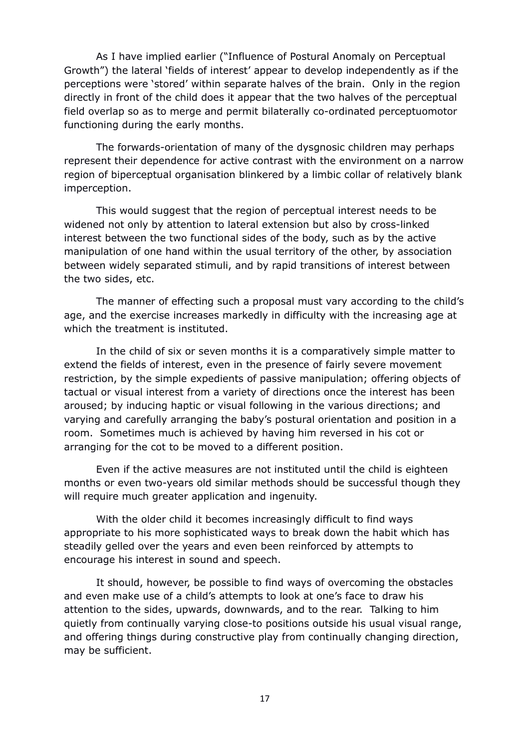As I have implied earlier ("Influence of Postural Anomaly on Perceptual Growth") the lateral 'fields of interest' appear to develop independently as if the perceptions were 'stored' within separate halves of the brain. Only in the region directly in front of the child does it appear that the two halves of the perceptual field overlap so as to merge and permit bilaterally co-ordinated perceptuomotor functioning during the early months.

The forwards-orientation of many of the dysgnosic children may perhaps represent their dependence for active contrast with the environment on a narrow region of biperceptual organisation blinkered by a limbic collar of relatively blank imperception.

This would suggest that the region of perceptual interest needs to be widened not only by attention to lateral extension but also by cross-linked interest between the two functional sides of the body, such as by the active manipulation of one hand within the usual territory of the other, by association between widely separated stimuli, and by rapid transitions of interest between the two sides, etc.

The manner of effecting such a proposal must vary according to the child's age, and the exercise increases markedly in difficulty with the increasing age at which the treatment is instituted.

In the child of six or seven months it is a comparatively simple matter to extend the fields of interest, even in the presence of fairly severe movement restriction, by the simple expedients of passive manipulation; offering objects of tactual or visual interest from a variety of directions once the interest has been aroused; by inducing haptic or visual following in the various directions; and varying and carefully arranging the baby's postural orientation and position in a room. Sometimes much is achieved by having him reversed in his cot or arranging for the cot to be moved to a different position.

Even if the active measures are not instituted until the child is eighteen months or even two-years old similar methods should be successful though they will require much greater application and ingenuity.

With the older child it becomes increasingly difficult to find ways appropriate to his more sophisticated ways to break down the habit which has steadily gelled over the years and even been reinforced by attempts to encourage his interest in sound and speech.

It should, however, be possible to find ways of overcoming the obstacles and even make use of a child's attempts to look at one's face to draw his attention to the sides, upwards, downwards, and to the rear. Talking to him quietly from continually varying close-to positions outside his usual visual range, and offering things during constructive play from continually changing direction, may be sufficient.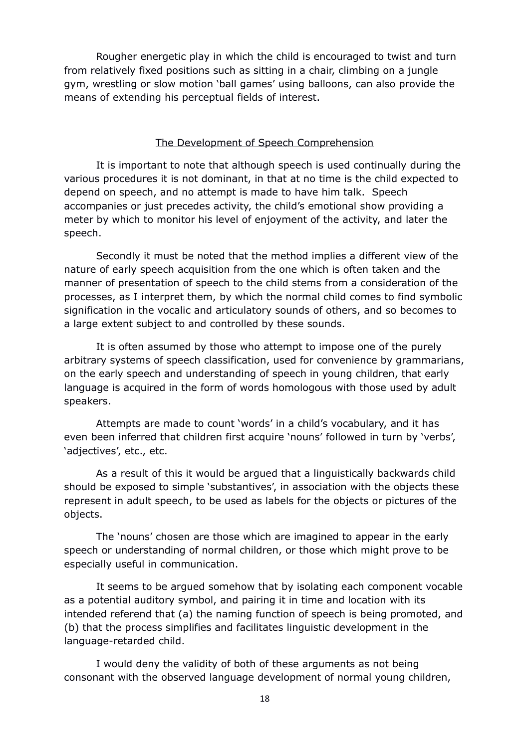Rougher energetic play in which the child is encouraged to twist and turn from relatively fixed positions such as sitting in a chair, climbing on a jungle gym, wrestling or slow motion 'ball games' using balloons, can also provide the means of extending his perceptual fields of interest.

### The Development of Speech Comprehension

It is important to note that although speech is used continually during the various procedures it is not dominant, in that at no time is the child expected to depend on speech, and no attempt is made to have him talk. Speech accompanies or just precedes activity, the child's emotional show providing a meter by which to monitor his level of enjoyment of the activity, and later the speech.

Secondly it must be noted that the method implies a different view of the nature of early speech acquisition from the one which is often taken and the manner of presentation of speech to the child stems from a consideration of the processes, as I interpret them, by which the normal child comes to find symbolic signification in the vocalic and articulatory sounds of others, and so becomes to a large extent subject to and controlled by these sounds.

It is often assumed by those who attempt to impose one of the purely arbitrary systems of speech classification, used for convenience by grammarians, on the early speech and understanding of speech in young children, that early language is acquired in the form of words homologous with those used by adult speakers.

Attempts are made to count 'words' in a child's vocabulary, and it has even been inferred that children first acquire 'nouns' followed in turn by 'verbs', 'adjectives', etc., etc.

As a result of this it would be argued that a linguistically backwards child should be exposed to simple 'substantives', in association with the objects these represent in adult speech, to be used as labels for the objects or pictures of the objects.

The 'nouns' chosen are those which are imagined to appear in the early speech or understanding of normal children, or those which might prove to be especially useful in communication.

It seems to be argued somehow that by isolating each component vocable as a potential auditory symbol, and pairing it in time and location with its intended referend that (a) the naming function of speech is being promoted, and (b) that the process simplifies and facilitates linguistic development in the language-retarded child.

I would deny the validity of both of these arguments as not being consonant with the observed language development of normal young children,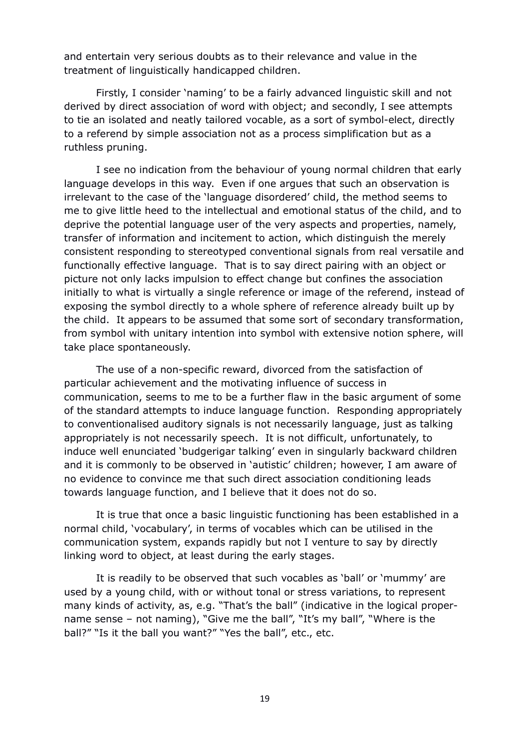and entertain very serious doubts as to their relevance and value in the treatment of linguistically handicapped children.

Firstly, I consider 'naming' to be a fairly advanced linguistic skill and not derived by direct association of word with object; and secondly, I see attempts to tie an isolated and neatly tailored vocable, as a sort of symbol-elect, directly to a referend by simple association not as a process simplification but as a ruthless pruning.

I see no indication from the behaviour of young normal children that early language develops in this way. Even if one argues that such an observation is irrelevant to the case of the 'language disordered' child, the method seems to me to give little heed to the intellectual and emotional status of the child, and to deprive the potential language user of the very aspects and properties, namely, transfer of information and incitement to action, which distinguish the merely consistent responding to stereotyped conventional signals from real versatile and functionally effective language. That is to say direct pairing with an object or picture not only lacks impulsion to effect change but confines the association initially to what is virtually a single reference or image of the referend, instead of exposing the symbol directly to a whole sphere of reference already built up by the child. It appears to be assumed that some sort of secondary transformation, from symbol with unitary intention into symbol with extensive notion sphere, will take place spontaneously.

The use of a non-specific reward, divorced from the satisfaction of particular achievement and the motivating influence of success in communication, seems to me to be a further flaw in the basic argument of some of the standard attempts to induce language function. Responding appropriately to conventionalised auditory signals is not necessarily language, just as talking appropriately is not necessarily speech. It is not difficult, unfortunately, to induce well enunciated 'budgerigar talking' even in singularly backward children and it is commonly to be observed in 'autistic' children; however, I am aware of no evidence to convince me that such direct association conditioning leads towards language function, and I believe that it does not do so.

It is true that once a basic linguistic functioning has been established in a normal child, 'vocabulary', in terms of vocables which can be utilised in the communication system, expands rapidly but not I venture to say by directly linking word to object, at least during the early stages.

It is readily to be observed that such vocables as 'ball' or 'mummy' are used by a young child, with or without tonal or stress variations, to represent many kinds of activity, as, e.g. "That's the ball" (indicative in the logical propername sense – not naming), "Give me the ball", "It's my ball", "Where is the ball?" "Is it the ball you want?" "Yes the ball", etc., etc.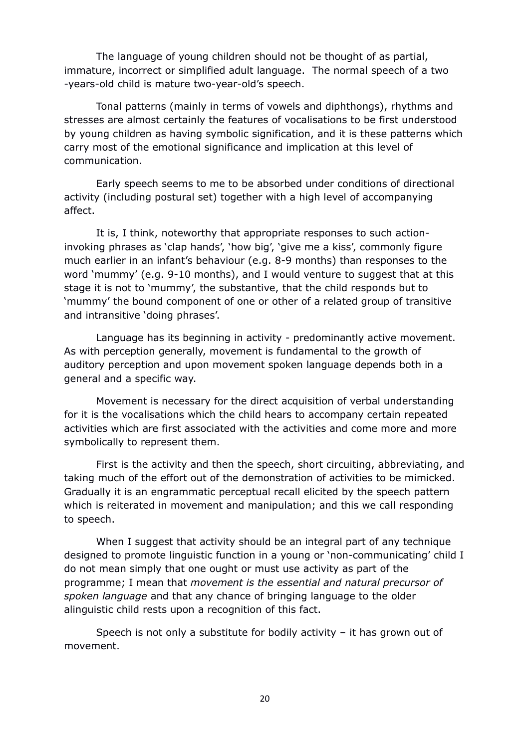The language of young children should not be thought of as partial, immature, incorrect or simplified adult language. The normal speech of a two -years-old child is mature two-year-old's speech.

Tonal patterns (mainly in terms of vowels and diphthongs), rhythms and stresses are almost certainly the features of vocalisations to be first understood by young children as having symbolic signification, and it is these patterns which carry most of the emotional significance and implication at this level of communication.

Early speech seems to me to be absorbed under conditions of directional activity (including postural set) together with a high level of accompanying affect.

It is, I think, noteworthy that appropriate responses to such actioninvoking phrases as 'clap hands', 'how big', 'give me a kiss', commonly figure much earlier in an infant's behaviour (e.g. 8-9 months) than responses to the word 'mummy' (e.g. 9-10 months), and I would venture to suggest that at this stage it is not to 'mummy', the substantive, that the child responds but to 'mummy' the bound component of one or other of a related group of transitive and intransitive 'doing phrases'.

Language has its beginning in activity - predominantly active movement. As with perception generally, movement is fundamental to the growth of auditory perception and upon movement spoken language depends both in a general and a specific way.

Movement is necessary for the direct acquisition of verbal understanding for it is the vocalisations which the child hears to accompany certain repeated activities which are first associated with the activities and come more and more symbolically to represent them.

First is the activity and then the speech, short circuiting, abbreviating, and taking much of the effort out of the demonstration of activities to be mimicked. Gradually it is an engrammatic perceptual recall elicited by the speech pattern which is reiterated in movement and manipulation; and this we call responding to speech.

When I suggest that activity should be an integral part of any technique designed to promote linguistic function in a young or 'non-communicating' child I do not mean simply that one ought or must use activity as part of the programme; I mean that *movement is the essential and natural precursor of spoken language* and that any chance of bringing language to the older alinguistic child rests upon a recognition of this fact.

Speech is not only a substitute for bodily activity – it has grown out of movement.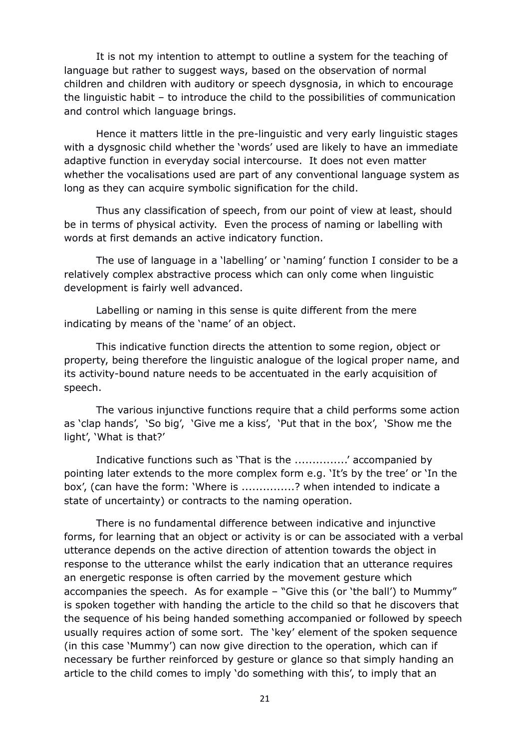It is not my intention to attempt to outline a system for the teaching of language but rather to suggest ways, based on the observation of normal children and children with auditory or speech dysgnosia, in which to encourage the linguistic habit – to introduce the child to the possibilities of communication and control which language brings.

Hence it matters little in the pre-linguistic and very early linguistic stages with a dysgnosic child whether the 'words' used are likely to have an immediate adaptive function in everyday social intercourse. It does not even matter whether the vocalisations used are part of any conventional language system as long as they can acquire symbolic signification for the child.

Thus any classification of speech, from our point of view at least, should be in terms of physical activity. Even the process of naming or labelling with words at first demands an active indicatory function.

The use of language in a 'labelling' or 'naming' function I consider to be a relatively complex abstractive process which can only come when linguistic development is fairly well advanced.

Labelling or naming in this sense is quite different from the mere indicating by means of the 'name' of an object.

This indicative function directs the attention to some region, object or property, being therefore the linguistic analogue of the logical proper name, and its activity-bound nature needs to be accentuated in the early acquisition of speech.

The various injunctive functions require that a child performs some action as 'clap hands', 'So big', 'Give me a kiss', 'Put that in the box', 'Show me the light', 'What is that?'

Indicative functions such as 'That is the ...............' accompanied by pointing later extends to the more complex form e.g. 'It's by the tree' or 'In the box', (can have the form: 'Where is ...............? when intended to indicate a state of uncertainty) or contracts to the naming operation.

There is no fundamental difference between indicative and injunctive forms, for learning that an object or activity is or can be associated with a verbal utterance depends on the active direction of attention towards the object in response to the utterance whilst the early indication that an utterance requires an energetic response is often carried by the movement gesture which accompanies the speech. As for example – "Give this (or 'the ball') to Mummy" is spoken together with handing the article to the child so that he discovers that the sequence of his being handed something accompanied or followed by speech usually requires action of some sort. The 'key' element of the spoken sequence (in this case 'Mummy') can now give direction to the operation, which can if necessary be further reinforced by gesture or glance so that simply handing an article to the child comes to imply 'do something with this', to imply that an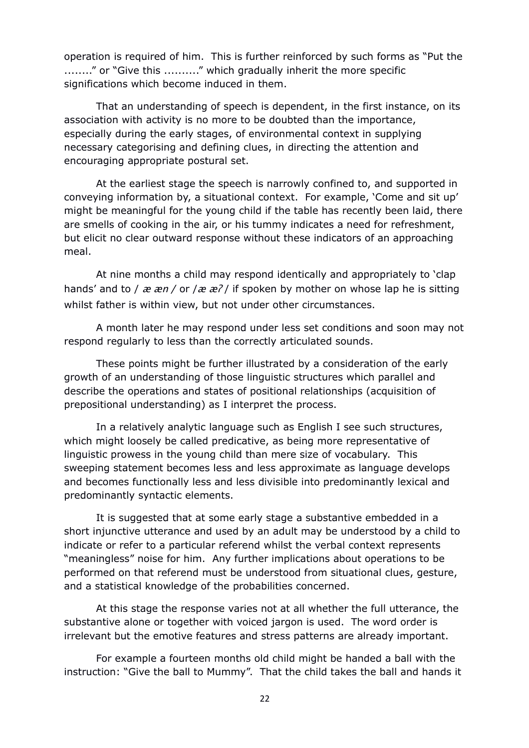operation is required of him. This is further reinforced by such forms as "Put the ........" or "Give this .........." which gradually inherit the more specific significations which become induced in them.

That an understanding of speech is dependent, in the first instance, on its association with activity is no more to be doubted than the importance, especially during the early stages, of environmental context in supplying necessary categorising and defining clues, in directing the attention and encouraging appropriate postural set.

At the earliest stage the speech is narrowly confined to, and supported in conveying information by, a situational context. For example, 'Come and sit up' might be meaningful for the young child if the table has recently been laid, there are smells of cooking in the air, or his tummy indicates a need for refreshment, but elicit no clear outward response without these indicators of an approaching meal.

At nine months a child may respond identically and appropriately to 'clap hands' and to /  $\vec{x}$   $\vec{x}$  / or / $\vec{x}$   $\vec{x}$  / if spoken by mother on whose lap he is sitting whilst father is within view, but not under other circumstances.

A month later he may respond under less set conditions and soon may not respond regularly to less than the correctly articulated sounds.

These points might be further illustrated by a consideration of the early growth of an understanding of those linguistic structures which parallel and describe the operations and states of positional relationships (acquisition of prepositional understanding) as I interpret the process.

In a relatively analytic language such as English I see such structures, which might loosely be called predicative, as being more representative of linguistic prowess in the young child than mere size of vocabulary. This sweeping statement becomes less and less approximate as language develops and becomes functionally less and less divisible into predominantly lexical and predominantly syntactic elements.

It is suggested that at some early stage a substantive embedded in a short injunctive utterance and used by an adult may be understood by a child to indicate or refer to a particular referend whilst the verbal context represents "meaningless" noise for him. Any further implications about operations to be performed on that referend must be understood from situational clues, gesture, and a statistical knowledge of the probabilities concerned.

At this stage the response varies not at all whether the full utterance, the substantive alone or together with voiced jargon is used. The word order is irrelevant but the emotive features and stress patterns are already important.

For example a fourteen months old child might be handed a ball with the instruction: "Give the ball to Mummy". That the child takes the ball and hands it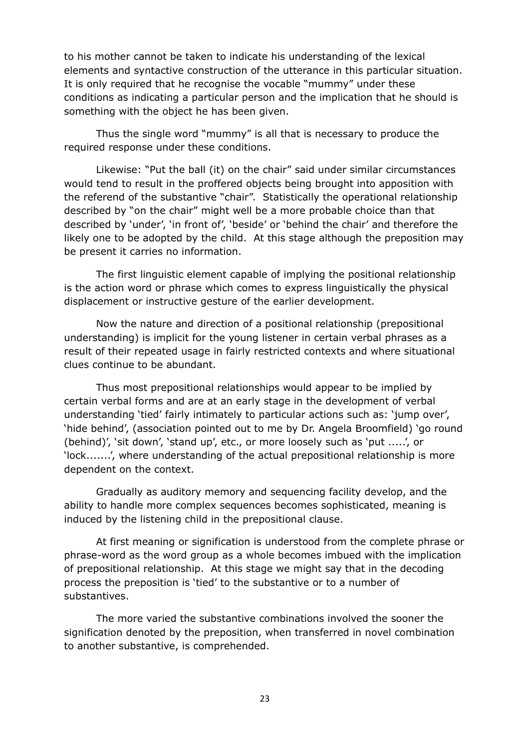to his mother cannot be taken to indicate his understanding of the lexical elements and syntactive construction of the utterance in this particular situation. It is only required that he recognise the vocable "mummy" under these conditions as indicating a particular person and the implication that he should is something with the object he has been given.

Thus the single word "mummy" is all that is necessary to produce the required response under these conditions.

Likewise: "Put the ball (it) on the chair" said under similar circumstances would tend to result in the proffered objects being brought into apposition with the referend of the substantive "chair". Statistically the operational relationship described by "on the chair" might well be a more probable choice than that described by 'under', 'in front of', 'beside' or 'behind the chair' and therefore the likely one to be adopted by the child. At this stage although the preposition may be present it carries no information.

The first linguistic element capable of implying the positional relationship is the action word or phrase which comes to express linguistically the physical displacement or instructive gesture of the earlier development.

Now the nature and direction of a positional relationship (prepositional understanding) is implicit for the young listener in certain verbal phrases as a result of their repeated usage in fairly restricted contexts and where situational clues continue to be abundant.

Thus most prepositional relationships would appear to be implied by certain verbal forms and are at an early stage in the development of verbal understanding 'tied' fairly intimately to particular actions such as: 'jump over', 'hide behind', (association pointed out to me by Dr. Angela Broomfield) 'go round (behind)', 'sit down', 'stand up', etc., or more loosely such as 'put .....', or 'lock.......', where understanding of the actual prepositional relationship is more dependent on the context.

Gradually as auditory memory and sequencing facility develop, and the ability to handle more complex sequences becomes sophisticated, meaning is induced by the listening child in the prepositional clause.

At first meaning or signification is understood from the complete phrase or phrase-word as the word group as a whole becomes imbued with the implication of prepositional relationship. At this stage we might say that in the decoding process the preposition is 'tied' to the substantive or to a number of substantives.

The more varied the substantive combinations involved the sooner the signification denoted by the preposition, when transferred in novel combination to another substantive, is comprehended.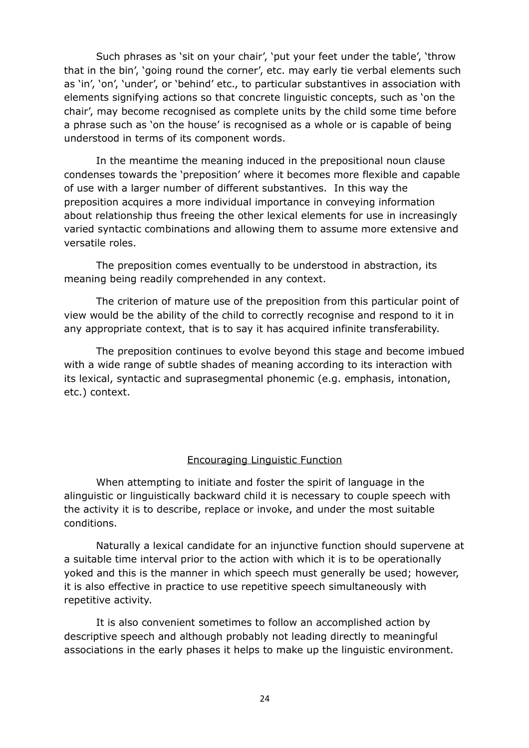Such phrases as 'sit on your chair', 'put your feet under the table', 'throw that in the bin', 'going round the corner', etc. may early tie verbal elements such as 'in', 'on', 'under', or 'behind' etc., to particular substantives in association with elements signifying actions so that concrete linguistic concepts, such as 'on the chair', may become recognised as complete units by the child some time before a phrase such as 'on the house' is recognised as a whole or is capable of being understood in terms of its component words.

In the meantime the meaning induced in the prepositional noun clause condenses towards the 'preposition' where it becomes more flexible and capable of use with a larger number of different substantives. In this way the preposition acquires a more individual importance in conveying information about relationship thus freeing the other lexical elements for use in increasingly varied syntactic combinations and allowing them to assume more extensive and versatile roles.

The preposition comes eventually to be understood in abstraction, its meaning being readily comprehended in any context.

The criterion of mature use of the preposition from this particular point of view would be the ability of the child to correctly recognise and respond to it in any appropriate context, that is to say it has acquired infinite transferability.

The preposition continues to evolve beyond this stage and become imbued with a wide range of subtle shades of meaning according to its interaction with its lexical, syntactic and suprasegmental phonemic (e.g. emphasis, intonation, etc.) context.

### Encouraging Linguistic Function

When attempting to initiate and foster the spirit of language in the alinguistic or linguistically backward child it is necessary to couple speech with the activity it is to describe, replace or invoke, and under the most suitable conditions.

Naturally a lexical candidate for an injunctive function should supervene at a suitable time interval prior to the action with which it is to be operationally yoked and this is the manner in which speech must generally be used; however, it is also effective in practice to use repetitive speech simultaneously with repetitive activity.

It is also convenient sometimes to follow an accomplished action by descriptive speech and although probably not leading directly to meaningful associations in the early phases it helps to make up the linguistic environment.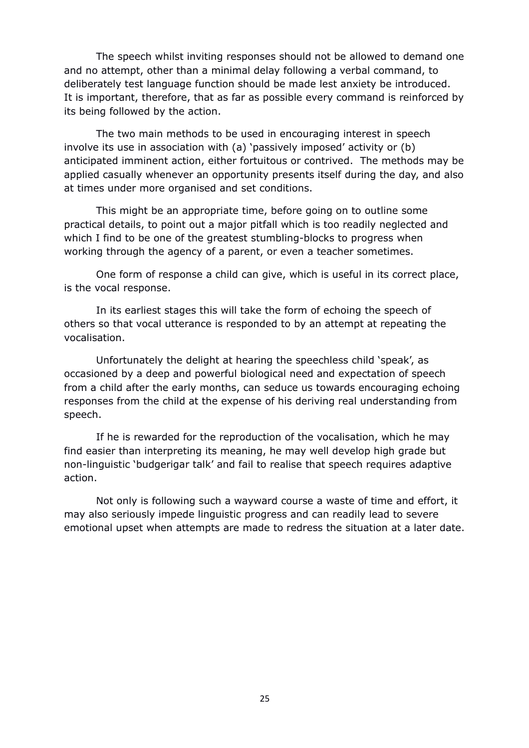The speech whilst inviting responses should not be allowed to demand one and no attempt, other than a minimal delay following a verbal command, to deliberately test language function should be made lest anxiety be introduced. It is important, therefore, that as far as possible every command is reinforced by its being followed by the action.

The two main methods to be used in encouraging interest in speech involve its use in association with (a) 'passively imposed' activity or (b) anticipated imminent action, either fortuitous or contrived. The methods may be applied casually whenever an opportunity presents itself during the day, and also at times under more organised and set conditions.

This might be an appropriate time, before going on to outline some practical details, to point out a major pitfall which is too readily neglected and which I find to be one of the greatest stumbling-blocks to progress when working through the agency of a parent, or even a teacher sometimes.

One form of response a child can give, which is useful in its correct place, is the vocal response.

In its earliest stages this will take the form of echoing the speech of others so that vocal utterance is responded to by an attempt at repeating the vocalisation.

Unfortunately the delight at hearing the speechless child 'speak', as occasioned by a deep and powerful biological need and expectation of speech from a child after the early months, can seduce us towards encouraging echoing responses from the child at the expense of his deriving real understanding from speech.

If he is rewarded for the reproduction of the vocalisation, which he may find easier than interpreting its meaning, he may well develop high grade but non-linguistic 'budgerigar talk' and fail to realise that speech requires adaptive action.

Not only is following such a wayward course a waste of time and effort, it may also seriously impede linguistic progress and can readily lead to severe emotional upset when attempts are made to redress the situation at a later date.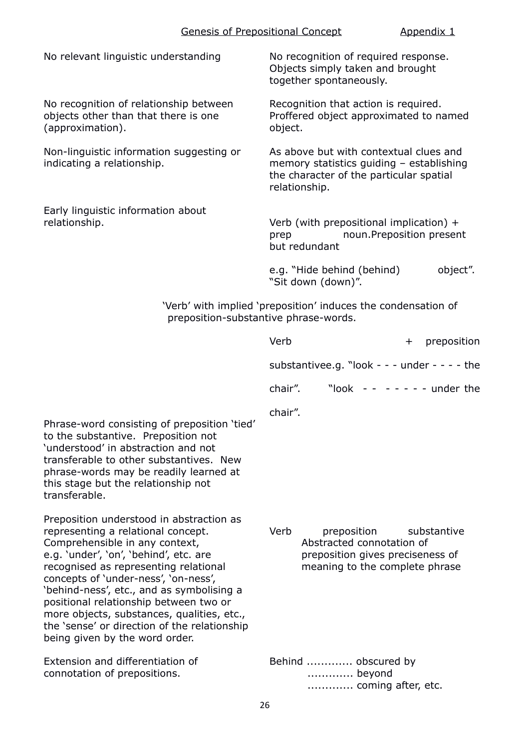| No relevant linguistic understanding                                                                                                                                                                            | No recognition of required response.<br>Objects simply taken and brought<br>together spontaneously.                                            |
|-----------------------------------------------------------------------------------------------------------------------------------------------------------------------------------------------------------------|------------------------------------------------------------------------------------------------------------------------------------------------|
| No recognition of relationship between<br>objects other than that there is one<br>(approximation).                                                                                                              | Recognition that action is required.<br>Proffered object approximated to named<br>object.                                                      |
| Non-linguistic information suggesting or<br>indicating a relationship.                                                                                                                                          | As above but with contextual clues and<br>memory statistics guiding - establishing<br>the character of the particular spatial<br>relationship. |
| Early linguistic information about<br>relationship.                                                                                                                                                             | Verb (with prepositional implication) +<br>noun.Preposition present<br>prep<br>but redundant                                                   |
|                                                                                                                                                                                                                 | e.g. "Hide behind (behind)<br>object".<br>"Sit down (down)".                                                                                   |
| 'Verb' with implied 'preposition' induces the condensation of<br>preposition-substantive phrase-words.                                                                                                          |                                                                                                                                                |
|                                                                                                                                                                                                                 | Verb<br>preposition<br>$^{+}$                                                                                                                  |
|                                                                                                                                                                                                                 | substantivee.g. "look - - - under - - - - the                                                                                                  |
|                                                                                                                                                                                                                 | "look -- ----- under the<br>chair".                                                                                                            |
| Phrase-word consisting of preposition 'tied'<br>to the substantive. Preposition not<br>'understood' in abstraction and not<br>transferable to other substantives. New<br>phrase-words may be readily learned at | chair".                                                                                                                                        |

Preposition understood in abstraction as representing a relational concept. Comprehensible in any context, e.g. 'under', 'on', 'behind', etc. are recognised as representing relational concepts of 'under-ness', 'on-ness', 'behind-ness', etc., and as symbolising a positional relationship between two or more objects, substances, qualities, etc., the 'sense' or direction of the relationship being given by the word order.

this stage but the relationship not

transferable.

Extension and differentiation of connotation of prepositions.

Verb preposition substantive Abstracted connotation of preposition gives preciseness of meaning to the complete phrase

Behind ............. obscured by ............. beyond ............. coming after, etc.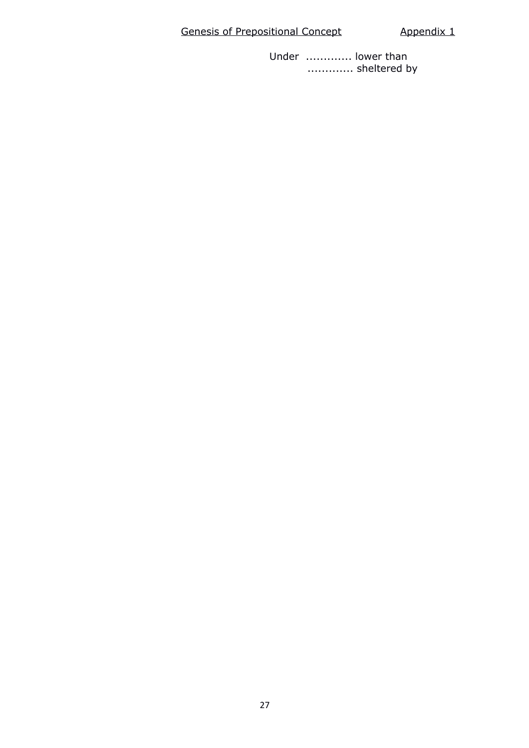# Genesis of Prepositional Concept **Appendix 1**

Under ............. lower than ............. sheltered by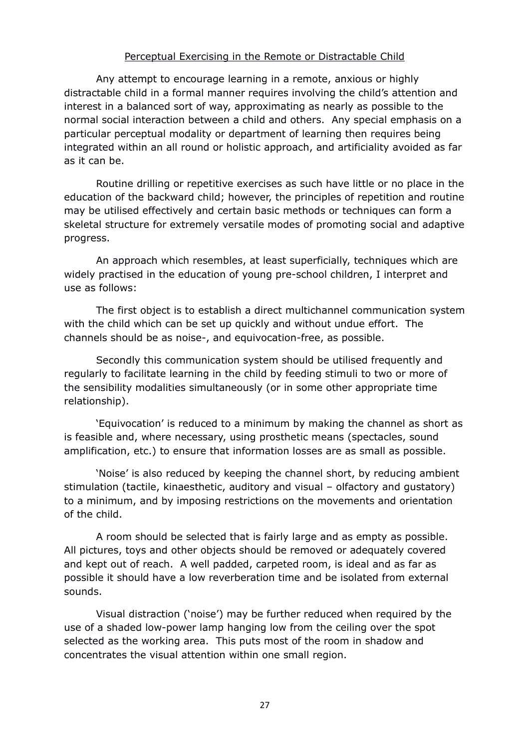# Perceptual Exercising in the Remote or Distractable Child

Any attempt to encourage learning in a remote, anxious or highly distractable child in a formal manner requires involving the child's attention and interest in a balanced sort of way, approximating as nearly as possible to the normal social interaction between a child and others. Any special emphasis on a particular perceptual modality or department of learning then requires being integrated within an all round or holistic approach, and artificiality avoided as far as it can be.

Routine drilling or repetitive exercises as such have little or no place in the education of the backward child; however, the principles of repetition and routine may be utilised effectively and certain basic methods or techniques can form a skeletal structure for extremely versatile modes of promoting social and adaptive progress.

An approach which resembles, at least superficially, techniques which are widely practised in the education of young pre-school children, I interpret and use as follows:

The first object is to establish a direct multichannel communication system with the child which can be set up quickly and without undue effort. The channels should be as noise-, and equivocation-free, as possible.

Secondly this communication system should be utilised frequently and regularly to facilitate learning in the child by feeding stimuli to two or more of the sensibility modalities simultaneously (or in some other appropriate time relationship).

'Equivocation' is reduced to a minimum by making the channel as short as is feasible and, where necessary, using prosthetic means (spectacles, sound amplification, etc.) to ensure that information losses are as small as possible.

'Noise' is also reduced by keeping the channel short, by reducing ambient stimulation (tactile, kinaesthetic, auditory and visual – olfactory and gustatory) to a minimum, and by imposing restrictions on the movements and orientation of the child.

A room should be selected that is fairly large and as empty as possible. All pictures, toys and other objects should be removed or adequately covered and kept out of reach. A well padded, carpeted room, is ideal and as far as possible it should have a low reverberation time and be isolated from external sounds.

Visual distraction ('noise') may be further reduced when required by the use of a shaded low-power lamp hanging low from the ceiling over the spot selected as the working area. This puts most of the room in shadow and concentrates the visual attention within one small region.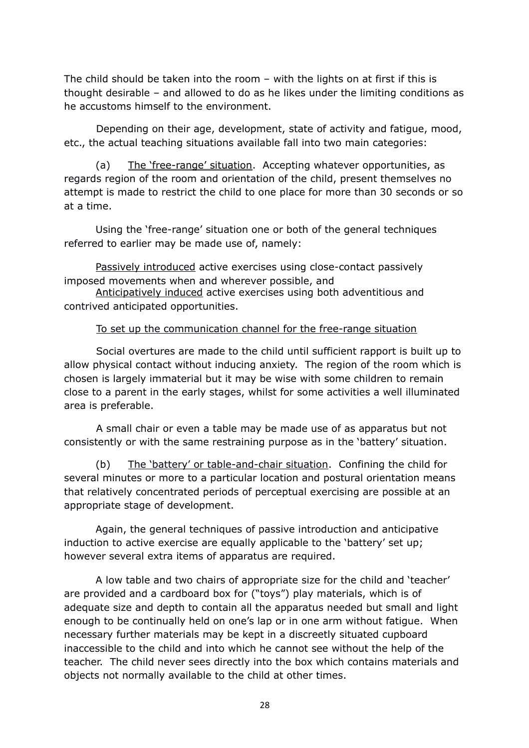The child should be taken into the room – with the lights on at first if this is thought desirable – and allowed to do as he likes under the limiting conditions as he accustoms himself to the environment.

Depending on their age, development, state of activity and fatigue, mood, etc., the actual teaching situations available fall into two main categories:

(a) The 'free-range' situation. Accepting whatever opportunities, as regards region of the room and orientation of the child, present themselves no attempt is made to restrict the child to one place for more than 30 seconds or so at a time.

Using the 'free-range' situation one or both of the general techniques referred to earlier may be made use of, namely:

Passively introduced active exercises using close-contact passively imposed movements when and wherever possible, and

Anticipatively induced active exercises using both adventitious and contrived anticipated opportunities.

# To set up the communication channel for the free-range situation

Social overtures are made to the child until sufficient rapport is built up to allow physical contact without inducing anxiety. The region of the room which is chosen is largely immaterial but it may be wise with some children to remain close to a parent in the early stages, whilst for some activities a well illuminated area is preferable.

A small chair or even a table may be made use of as apparatus but not consistently or with the same restraining purpose as in the 'battery' situation.

(b) The 'battery' or table-and-chair situation. Confining the child for several minutes or more to a particular location and postural orientation means that relatively concentrated periods of perceptual exercising are possible at an appropriate stage of development.

Again, the general techniques of passive introduction and anticipative induction to active exercise are equally applicable to the 'battery' set up; however several extra items of apparatus are required.

A low table and two chairs of appropriate size for the child and 'teacher' are provided and a cardboard box for ("toys") play materials, which is of adequate size and depth to contain all the apparatus needed but small and light enough to be continually held on one's lap or in one arm without fatigue. When necessary further materials may be kept in a discreetly situated cupboard inaccessible to the child and into which he cannot see without the help of the teacher. The child never sees directly into the box which contains materials and objects not normally available to the child at other times.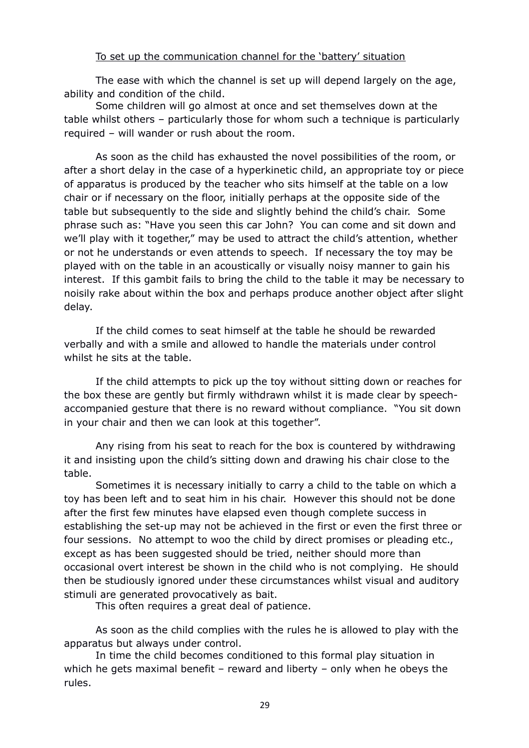# To set up the communication channel for the 'battery' situation

The ease with which the channel is set up will depend largely on the age, ability and condition of the child.

Some children will go almost at once and set themselves down at the table whilst others – particularly those for whom such a technique is particularly required – will wander or rush about the room.

As soon as the child has exhausted the novel possibilities of the room, or after a short delay in the case of a hyperkinetic child, an appropriate toy or piece of apparatus is produced by the teacher who sits himself at the table on a low chair or if necessary on the floor, initially perhaps at the opposite side of the table but subsequently to the side and slightly behind the child's chair. Some phrase such as: "Have you seen this car John? You can come and sit down and we'll play with it together," may be used to attract the child's attention, whether or not he understands or even attends to speech. If necessary the toy may be played with on the table in an acoustically or visually noisy manner to gain his interest. If this gambit fails to bring the child to the table it may be necessary to noisily rake about within the box and perhaps produce another object after slight delay.

If the child comes to seat himself at the table he should be rewarded verbally and with a smile and allowed to handle the materials under control whilst he sits at the table.

If the child attempts to pick up the toy without sitting down or reaches for the box these are gently but firmly withdrawn whilst it is made clear by speechaccompanied gesture that there is no reward without compliance. "You sit down in your chair and then we can look at this together".

Any rising from his seat to reach for the box is countered by withdrawing it and insisting upon the child's sitting down and drawing his chair close to the table.

Sometimes it is necessary initially to carry a child to the table on which a toy has been left and to seat him in his chair. However this should not be done after the first few minutes have elapsed even though complete success in establishing the set-up may not be achieved in the first or even the first three or four sessions. No attempt to woo the child by direct promises or pleading etc., except as has been suggested should be tried, neither should more than occasional overt interest be shown in the child who is not complying. He should then be studiously ignored under these circumstances whilst visual and auditory stimuli are generated provocatively as bait.

This often requires a great deal of patience.

As soon as the child complies with the rules he is allowed to play with the apparatus but always under control.

In time the child becomes conditioned to this formal play situation in which he gets maximal benefit – reward and liberty – only when he obeys the rules.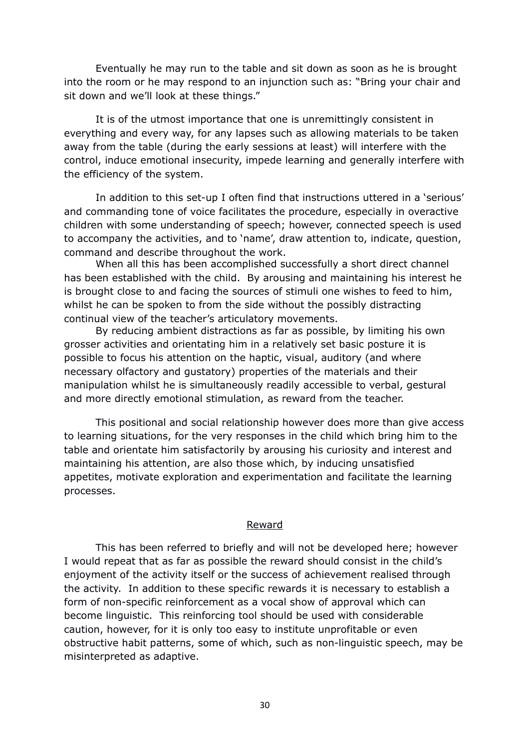Eventually he may run to the table and sit down as soon as he is brought into the room or he may respond to an injunction such as: "Bring your chair and sit down and we'll look at these things."

It is of the utmost importance that one is unremittingly consistent in everything and every way, for any lapses such as allowing materials to be taken away from the table (during the early sessions at least) will interfere with the control, induce emotional insecurity, impede learning and generally interfere with the efficiency of the system.

In addition to this set-up I often find that instructions uttered in a 'serious' and commanding tone of voice facilitates the procedure, especially in overactive children with some understanding of speech; however, connected speech is used to accompany the activities, and to 'name', draw attention to, indicate, question, command and describe throughout the work.

When all this has been accomplished successfully a short direct channel has been established with the child. By arousing and maintaining his interest he is brought close to and facing the sources of stimuli one wishes to feed to him, whilst he can be spoken to from the side without the possibly distracting continual view of the teacher's articulatory movements.

By reducing ambient distractions as far as possible, by limiting his own grosser activities and orientating him in a relatively set basic posture it is possible to focus his attention on the haptic, visual, auditory (and where necessary olfactory and gustatory) properties of the materials and their manipulation whilst he is simultaneously readily accessible to verbal, gestural and more directly emotional stimulation, as reward from the teacher.

This positional and social relationship however does more than give access to learning situations, for the very responses in the child which bring him to the table and orientate him satisfactorily by arousing his curiosity and interest and maintaining his attention, are also those which, by inducing unsatisfied appetites, motivate exploration and experimentation and facilitate the learning processes.

### Reward

This has been referred to briefly and will not be developed here; however I would repeat that as far as possible the reward should consist in the child's enjoyment of the activity itself or the success of achievement realised through the activity. In addition to these specific rewards it is necessary to establish a form of non-specific reinforcement as a vocal show of approval which can become linguistic. This reinforcing tool should be used with considerable caution, however, for it is only too easy to institute unprofitable or even obstructive habit patterns, some of which, such as non-linguistic speech, may be misinterpreted as adaptive.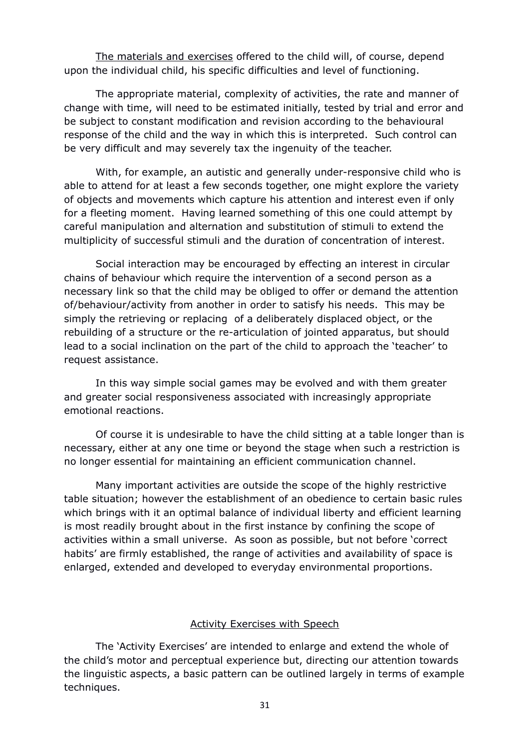The materials and exercises offered to the child will, of course, depend upon the individual child, his specific difficulties and level of functioning.

The appropriate material, complexity of activities, the rate and manner of change with time, will need to be estimated initially, tested by trial and error and be subject to constant modification and revision according to the behavioural response of the child and the way in which this is interpreted. Such control can be very difficult and may severely tax the ingenuity of the teacher.

With, for example, an autistic and generally under-responsive child who is able to attend for at least a few seconds together, one might explore the variety of objects and movements which capture his attention and interest even if only for a fleeting moment. Having learned something of this one could attempt by careful manipulation and alternation and substitution of stimuli to extend the multiplicity of successful stimuli and the duration of concentration of interest.

Social interaction may be encouraged by effecting an interest in circular chains of behaviour which require the intervention of a second person as a necessary link so that the child may be obliged to offer or demand the attention of/behaviour/activity from another in order to satisfy his needs. This may be simply the retrieving or replacing of a deliberately displaced object, or the rebuilding of a structure or the re-articulation of jointed apparatus, but should lead to a social inclination on the part of the child to approach the 'teacher' to request assistance.

In this way simple social games may be evolved and with them greater and greater social responsiveness associated with increasingly appropriate emotional reactions.

Of course it is undesirable to have the child sitting at a table longer than is necessary, either at any one time or beyond the stage when such a restriction is no longer essential for maintaining an efficient communication channel.

Many important activities are outside the scope of the highly restrictive table situation; however the establishment of an obedience to certain basic rules which brings with it an optimal balance of individual liberty and efficient learning is most readily brought about in the first instance by confining the scope of activities within a small universe. As soon as possible, but not before 'correct habits' are firmly established, the range of activities and availability of space is enlarged, extended and developed to everyday environmental proportions.

### Activity Exercises with Speech

The 'Activity Exercises' are intended to enlarge and extend the whole of the child's motor and perceptual experience but, directing our attention towards the linguistic aspects, a basic pattern can be outlined largely in terms of example techniques.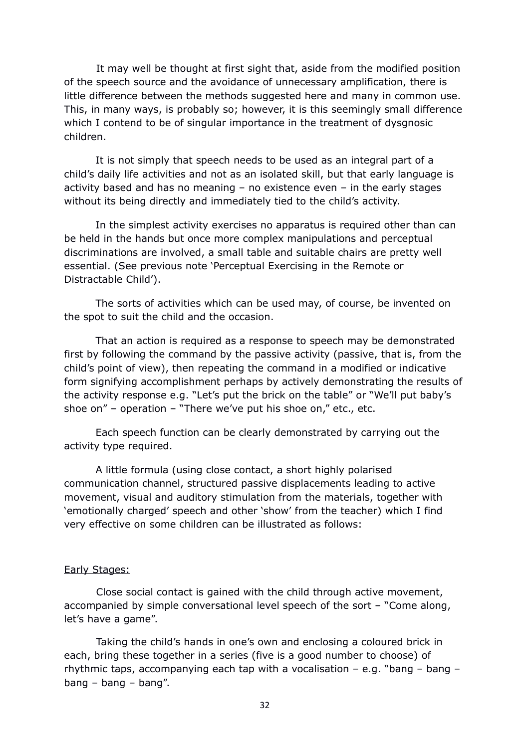It may well be thought at first sight that, aside from the modified position of the speech source and the avoidance of unnecessary amplification, there is little difference between the methods suggested here and many in common use. This, in many ways, is probably so; however, it is this seemingly small difference which I contend to be of singular importance in the treatment of dysgnosic children.

It is not simply that speech needs to be used as an integral part of a child's daily life activities and not as an isolated skill, but that early language is activity based and has no meaning – no existence even – in the early stages without its being directly and immediately tied to the child's activity.

In the simplest activity exercises no apparatus is required other than can be held in the hands but once more complex manipulations and perceptual discriminations are involved, a small table and suitable chairs are pretty well essential. (See previous note 'Perceptual Exercising in the Remote or Distractable Child').

The sorts of activities which can be used may, of course, be invented on the spot to suit the child and the occasion.

That an action is required as a response to speech may be demonstrated first by following the command by the passive activity (passive, that is, from the child's point of view), then repeating the command in a modified or indicative form signifying accomplishment perhaps by actively demonstrating the results of the activity response e.g. "Let's put the brick on the table" or "We'll put baby's shoe on" – operation – "There we've put his shoe on," etc., etc.

Each speech function can be clearly demonstrated by carrying out the activity type required.

A little formula (using close contact, a short highly polarised communication channel, structured passive displacements leading to active movement, visual and auditory stimulation from the materials, together with 'emotionally charged' speech and other 'show' from the teacher) which I find very effective on some children can be illustrated as follows:

### Early Stages:

Close social contact is gained with the child through active movement, accompanied by simple conversational level speech of the sort – "Come along, let's have a game".

Taking the child's hands in one's own and enclosing a coloured brick in each, bring these together in a series (five is a good number to choose) of rhythmic taps, accompanying each tap with a vocalisation – e.g. "bang – bang – bang – bang – bang".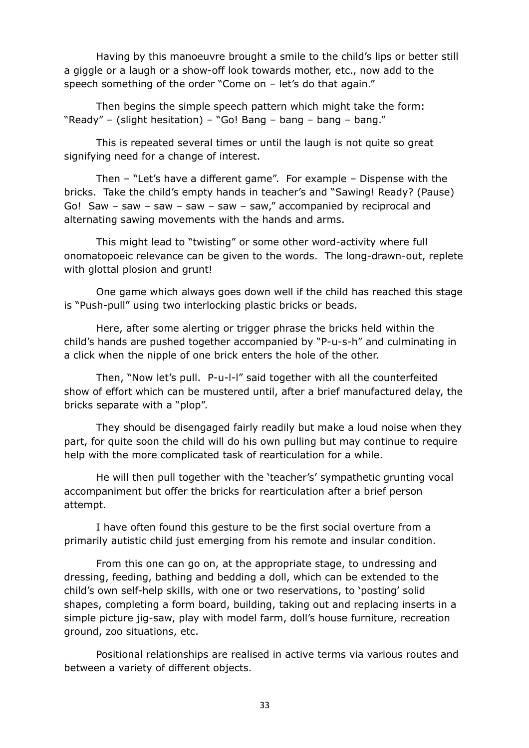Having by this manoeuvre brought a smile to the child's lips or better still a giggle or a laugh or a show-off look towards mother, etc., now add to the speech something of the order "Come on – let's do that again."

Then begins the simple speech pattern which might take the form: "Ready" – (slight hesitation) – "Go! Bang – bang – bang – bang."

This is repeated several times or until the laugh is not quite so great signifying need for a change of interest.

Then – "Let's have a different game". For example – Dispense with the bricks. Take the child's empty hands in teacher's and "Sawing! Ready? (Pause) Go! Saw – saw – saw – saw – saw – saw," accompanied by reciprocal and alternating sawing movements with the hands and arms.

This might lead to "twisting" or some other word-activity where full onomatopoeic relevance can be given to the words. The long-drawn-out, replete with glottal plosion and grunt!

One game which always goes down well if the child has reached this stage is "Push-pull" using two interlocking plastic bricks or beads.

Here, after some alerting or trigger phrase the bricks held within the child's hands are pushed together accompanied by "P-u-s-h" and culminating in a click when the nipple of one brick enters the hole of the other.

Then, "Now let's pull. P-u-l-l" said together with all the counterfeited show of effort which can be mustered until, after a brief manufactured delay, the bricks separate with a "plop".

They should be disengaged fairly readily but make a loud noise when they part, for quite soon the child will do his own pulling but may continue to require help with the more complicated task of rearticulation for a while.

He will then pull together with the 'teacher's' sympathetic grunting vocal accompaniment but offer the bricks for rearticulation after a brief person attempt.

I have often found this gesture to be the first social overture from a primarily autistic child just emerging from his remote and insular condition.

From this one can go on, at the appropriate stage, to undressing and dressing, feeding, bathing and bedding a doll, which can be extended to the child's own self-help skills, with one or two reservations, to 'posting' solid shapes, completing a form board, building, taking out and replacing inserts in a simple picture jig-saw, play with model farm, doll's house furniture, recreation ground, zoo situations, etc.

Positional relationships are realised in active terms via various routes and between a variety of different objects.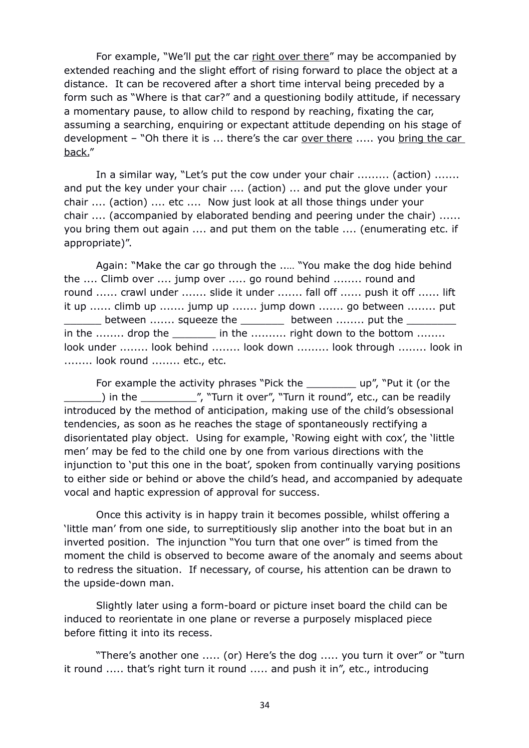For example, "We'll put the car right over there" may be accompanied by extended reaching and the slight effort of rising forward to place the object at a distance. It can be recovered after a short time interval being preceded by a form such as "Where is that car?" and a questioning bodily attitude, if necessary a momentary pause, to allow child to respond by reaching, fixating the car, assuming a searching, enquiring or expectant attitude depending on his stage of development – "Oh there it is ... there's the car over there ..... you bring the car back."

In a similar way, "Let's put the cow under your chair ......... (action) ....... and put the key under your chair .... (action) ... and put the glove under your chair .... (action) .... etc .... Now just look at all those things under your chair .... (accompanied by elaborated bending and peering under the chair) ...... you bring them out again .... and put them on the table .... (enumerating etc. if appropriate)".

Again: "Make the car go through the ..… "You make the dog hide behind the .... Climb over .... jump over ..... go round behind ........ round and round ...... crawl under ....... slide it under ....... fall off ...... push it off ...... lift it up ...... climb up ....... jump up ....... jump down ....... go between ........ put \_\_\_\_\_\_ between ....... squeeze the \_\_\_\_\_\_\_ between ........ put the \_\_\_\_\_\_\_\_ in the ........ drop the  $\qquad \qquad$  in the .......... right down to the bottom ........ look under ........ look behind ........ look down ......... look through ........ look in ........ look round ........ etc., etc.

For example the activity phrases "Pick the \_\_\_\_\_\_\_\_\_ up", "Put it (or the  $\Box$ ) in the  $\Box$ , "Turn it over", "Turn it round", etc., can be readily introduced by the method of anticipation, making use of the child's obsessional tendencies, as soon as he reaches the stage of spontaneously rectifying a disorientated play object. Using for example, 'Rowing eight with cox', the 'little men' may be fed to the child one by one from various directions with the injunction to 'put this one in the boat', spoken from continually varying positions to either side or behind or above the child's head, and accompanied by adequate vocal and haptic expression of approval for success.

Once this activity is in happy train it becomes possible, whilst offering a 'little man' from one side, to surreptitiously slip another into the boat but in an inverted position. The injunction "You turn that one over" is timed from the moment the child is observed to become aware of the anomaly and seems about to redress the situation. If necessary, of course, his attention can be drawn to the upside-down man.

Slightly later using a form-board or picture inset board the child can be induced to reorientate in one plane or reverse a purposely misplaced piece before fitting it into its recess.

"There's another one ..... (or) Here's the dog ..... you turn it over" or "turn it round ..... that's right turn it round ..... and push it in", etc., introducing